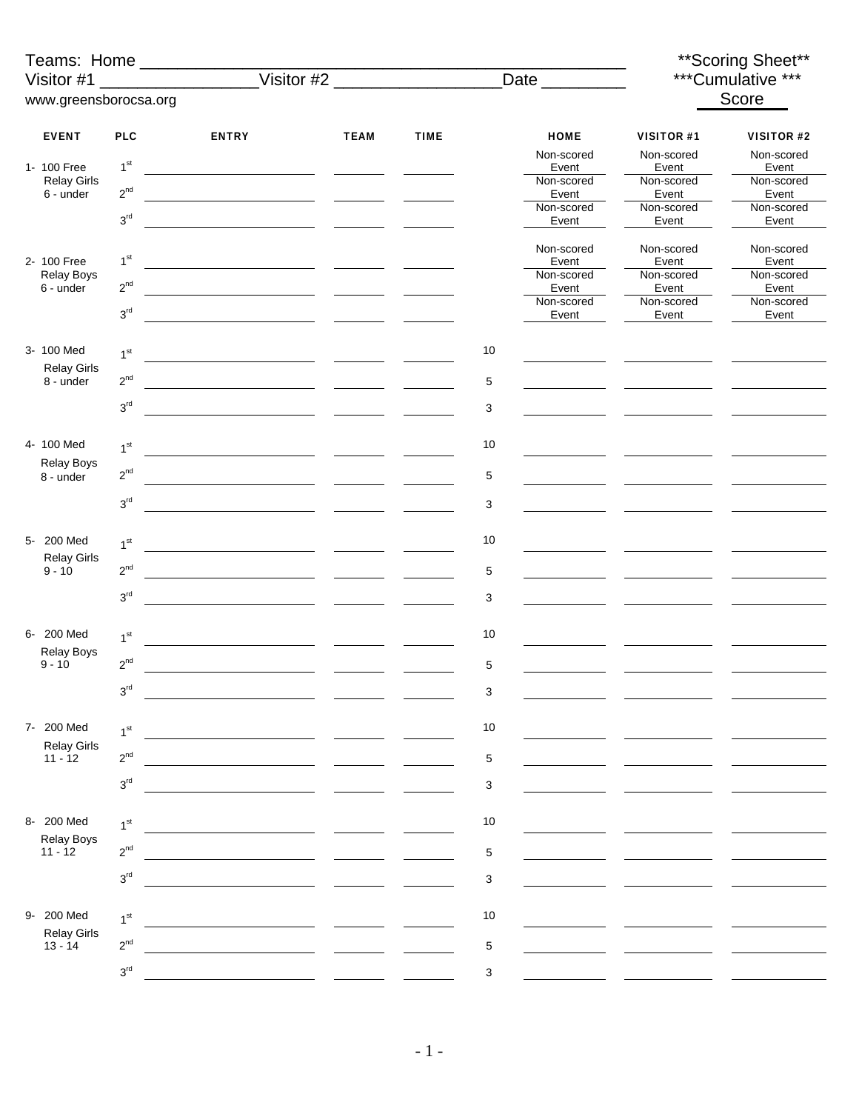| Visitor #1                      |                               |              |             |             |             |                                    |                                   | ** Scoring Sheet**<br>***Cumulative *** |
|---------------------------------|-------------------------------|--------------|-------------|-------------|-------------|------------------------------------|-----------------------------------|-----------------------------------------|
| www.greensborocsa.org           |                               |              |             |             |             |                                    |                                   | Score                                   |
|                                 |                               |              |             |             |             |                                    |                                   |                                         |
| <b>EVENT</b><br>1- 100 Free     | <b>PLC</b><br>1 <sup>st</sup> | <b>ENTRY</b> | <b>TEAM</b> | <b>TIME</b> |             | <b>HOME</b><br>Non-scored<br>Event | VISITOR #1<br>Non-scored<br>Event | VISITOR #2<br>Non-scored<br>Event       |
| <b>Relay Girls</b><br>6 - under | $2^{nd}$                      |              |             |             |             | Non-scored<br>Event                | Non-scored<br>Event               | Non-scored<br>Event                     |
|                                 | 3 <sup>rd</sup>               |              |             |             |             | Non-scored<br>Event                | Non-scored<br>Event               | Non-scored<br>Event                     |
|                                 |                               |              |             |             |             |                                    |                                   |                                         |
| 2- 100 Free                     | 1 <sup>st</sup>               |              |             |             |             | Non-scored<br>Event                | Non-scored<br>Event               | Non-scored<br>Event                     |
| Relay Boys<br>6 - under         | $2^{nd}$                      |              |             |             |             | Non-scored<br>Event                | Non-scored<br>Event               | Non-scored<br>Event                     |
|                                 | 3 <sup>rd</sup>               |              |             |             |             | Non-scored<br>Event                | Non-scored<br>Event               | Non-scored<br>Event                     |
| 3- 100 Med                      | 1 <sup>st</sup>               |              |             |             | $10$        |                                    |                                   |                                         |
| <b>Relay Girls</b>              | $2^{\text{nd}}$               |              |             |             |             |                                    |                                   |                                         |
| 8 - under                       |                               |              |             |             | 5           |                                    |                                   |                                         |
|                                 | 3 <sup>rd</sup>               |              |             |             | 3           |                                    |                                   |                                         |
| 4-100 Med                       | 1 <sup>st</sup>               |              |             |             | 10          |                                    |                                   |                                         |
| Relay Boys<br>8 - under         | $2^{nd}$                      |              |             |             | 5           |                                    |                                   |                                         |
|                                 | 3 <sup>rd</sup>               |              |             |             | 3           |                                    |                                   |                                         |
| 5- 200 Med                      | 1 <sup>st</sup>               |              |             |             | 10          |                                    |                                   |                                         |
| <b>Relay Girls</b><br>$9 - 10$  | $2^{\text{nd}}$               |              |             |             |             |                                    |                                   |                                         |
|                                 | 3 <sup>rd</sup>               |              |             |             | 5           |                                    |                                   |                                         |
|                                 |                               |              |             |             | 3           |                                    |                                   |                                         |
| 6- 200 Med                      | 1 <sup>st</sup>               |              |             |             | 10          |                                    |                                   |                                         |
| <b>Relay Boys</b><br>$9 - 10$   | $2^{nd}$                      |              |             |             | $\mathbf 5$ |                                    |                                   |                                         |
|                                 | $3^{\rm rd}$                  |              |             |             | 3           |                                    |                                   |                                         |
| 7- 200 Med                      | 1 <sup>st</sup>               |              |             |             | $10$        |                                    |                                   |                                         |
| <b>Relay Girls</b><br>$11 - 12$ | $2^{nd}$                      |              |             |             | 5           |                                    |                                   |                                         |
|                                 | $3^{\rm rd}$                  |              |             |             | 3           |                                    |                                   |                                         |
|                                 |                               |              |             |             |             |                                    |                                   |                                         |
| 8- 200 Med<br>Relay Boys        | 1 <sup>st</sup>               |              |             |             | $10$        |                                    |                                   |                                         |
| $11 - 12$                       | $2^{\text{nd}}$               |              |             |             | 5           |                                    |                                   |                                         |
|                                 | 3 <sup>rd</sup>               |              |             |             | 3           |                                    |                                   |                                         |
| 9- 200 Med                      | 1 <sup>st</sup>               |              |             |             | $10$        |                                    |                                   |                                         |
| <b>Relay Girls</b><br>$13 - 14$ | $2^{nd}$                      |              |             |             | 5           |                                    |                                   |                                         |
|                                 | 3 <sup>rd</sup>               |              |             |             | 3           |                                    |                                   |                                         |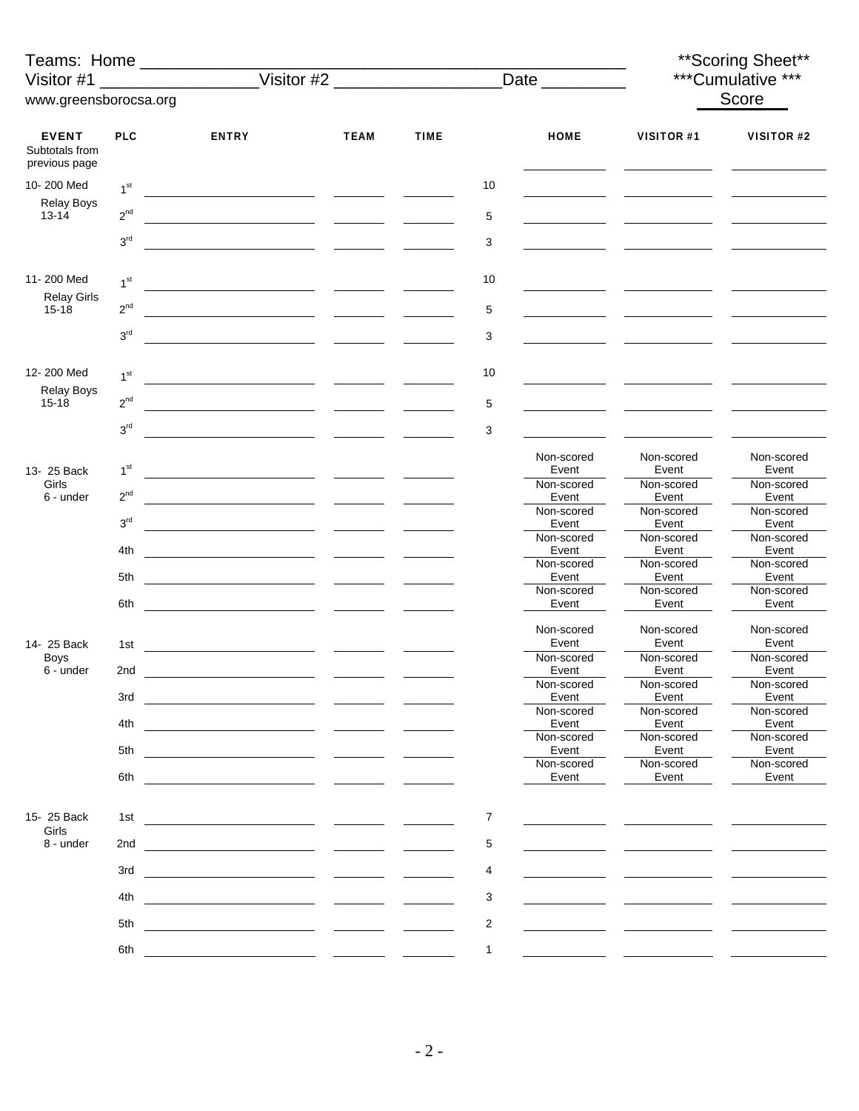| Visitor #1                                      |                 | Teams: Home _____________                                                                                            |                                   |             |                  | Date                |                     | ** Scoring Sheet**<br>***Cumulative *** |  |
|-------------------------------------------------|-----------------|----------------------------------------------------------------------------------------------------------------------|-----------------------------------|-------------|------------------|---------------------|---------------------|-----------------------------------------|--|
| www.greensborocsa.org                           |                 |                                                                                                                      |                                   |             |                  |                     |                     | Score                                   |  |
|                                                 |                 |                                                                                                                      |                                   |             |                  |                     |                     |                                         |  |
| <b>EVENT</b><br>Subtotals from<br>previous page | <b>PLC</b>      | <b>ENTRY</b>                                                                                                         | <b>TEAM</b>                       | <b>TIME</b> |                  | <b>HOME</b>         | <b>VISITOR #1</b>   | VISITOR #2                              |  |
| 10-200 Med                                      | 1 <sup>st</sup> |                                                                                                                      |                                   |             | 10               |                     |                     |                                         |  |
| <b>Relay Boys</b><br>$13 - 14$                  | $2^{nd}$        |                                                                                                                      |                                   |             | 5                |                     |                     |                                         |  |
|                                                 | 3 <sup>rd</sup> |                                                                                                                      |                                   |             | 3                |                     |                     |                                         |  |
| 11-200 Med                                      | 1 <sup>st</sup> |                                                                                                                      |                                   |             | 10               |                     |                     |                                         |  |
| <b>Relay Girls</b>                              | $2^{nd}$        |                                                                                                                      |                                   |             |                  |                     |                     |                                         |  |
| $15 - 18$                                       | $3^{\rm rd}$    |                                                                                                                      |                                   |             | 5<br>3           |                     |                     |                                         |  |
|                                                 |                 |                                                                                                                      |                                   |             |                  |                     |                     |                                         |  |
| 12-200 Med<br><b>Relay Boys</b>                 | 1 <sup>st</sup> |                                                                                                                      |                                   |             | 10               |                     |                     |                                         |  |
| $15 - 18$                                       | $2^{nd}$        |                                                                                                                      |                                   |             | 5                |                     |                     |                                         |  |
|                                                 | 3 <sup>rd</sup> |                                                                                                                      |                                   |             | 3                |                     |                     |                                         |  |
| 13- 25 Back                                     | 1 <sup>st</sup> |                                                                                                                      |                                   |             |                  | Non-scored<br>Event | Non-scored<br>Event | Non-scored<br>Event                     |  |
| Girls<br>6 - under                              | $2^{nd}$        |                                                                                                                      |                                   |             |                  | Non-scored<br>Event | Non-scored<br>Event | Non-scored<br>Event                     |  |
|                                                 | 3 <sup>rd</sup> |                                                                                                                      |                                   |             |                  | Non-scored<br>Event | Non-scored<br>Event | Non-scored<br>Event                     |  |
|                                                 | 4th             | <u> 1989 - Johann Barbara, martin a</u>                                                                              |                                   |             |                  | Non-scored<br>Event | Non-scored<br>Event | Non-scored<br>Event                     |  |
|                                                 | 5th             | <u> 1989 - Andrea State Barbara, poeta esp</u>                                                                       |                                   |             |                  | Non-scored<br>Event | Non-scored<br>Event | Non-scored<br>Event                     |  |
|                                                 | 6th             | <u> 1989 - Johann Barbara, martin a</u>                                                                              |                                   |             |                  | Non-scored<br>Event | Non-scored<br>Event | Non-scored<br>Event                     |  |
| 14- 25 Back                                     | 1st             | <u> 1989 - Johann Barbara, martin a</u>                                                                              | <b>Contract Contract Contract</b> |             |                  | Non-scored<br>Event | Non-scored<br>Event | Non-scored<br>Event                     |  |
| <b>Boys</b><br>6 - under                        | 2nd             |                                                                                                                      |                                   |             |                  | Non-scored<br>Event | Non-scored<br>Event | Non-scored<br>Event                     |  |
|                                                 | 3rd             | $\overline{\phantom{a}}$ . The contract of $\overline{\phantom{a}}$                                                  |                                   |             |                  | Non-scored<br>Event | Non-scored<br>Event | Non-scored<br>Event                     |  |
|                                                 | 4th             | <u> 1990 - Johann Marie Barn, mars an t-Amerikaansk konst</u>                                                        |                                   |             |                  | Non-scored<br>Event | Non-scored<br>Event | Non-scored<br>Event                     |  |
|                                                 | 5th             |                                                                                                                      |                                   |             |                  | Non-scored<br>Event | Non-scored<br>Event | Non-scored<br>Event                     |  |
|                                                 | 6th             | <u> 1989 - Johann Marie Barn, mars eta inperiodo</u>                                                                 |                                   |             |                  | Non-scored<br>Event | Non-scored<br>Event | Non-scored<br>Event                     |  |
|                                                 |                 |                                                                                                                      |                                   |             |                  |                     |                     |                                         |  |
| 15-25 Back<br>Girls                             | 1st             |                                                                                                                      |                                   |             | $\boldsymbol{7}$ |                     |                     |                                         |  |
| 8 - under                                       |                 |                                                                                                                      |                                   |             | 5                |                     |                     |                                         |  |
|                                                 | 3rd             |                                                                                                                      |                                   |             | 4                |                     |                     |                                         |  |
|                                                 | 4th             | <u> 1989 - Johann Barn, mars eta inperiodo</u> r eta eskualdean eta eskualdean eta eskualdean eta eskualdean eta eta |                                   |             | 3                |                     |                     |                                         |  |
|                                                 | 5th             | <u> 1980 - Jan Barnett, fransk politik (d. 1980)</u>                                                                 |                                   |             | $\overline{2}$   |                     |                     |                                         |  |
|                                                 | 6th             |                                                                                                                      |                                   |             | $\mathbf{1}$     |                     |                     |                                         |  |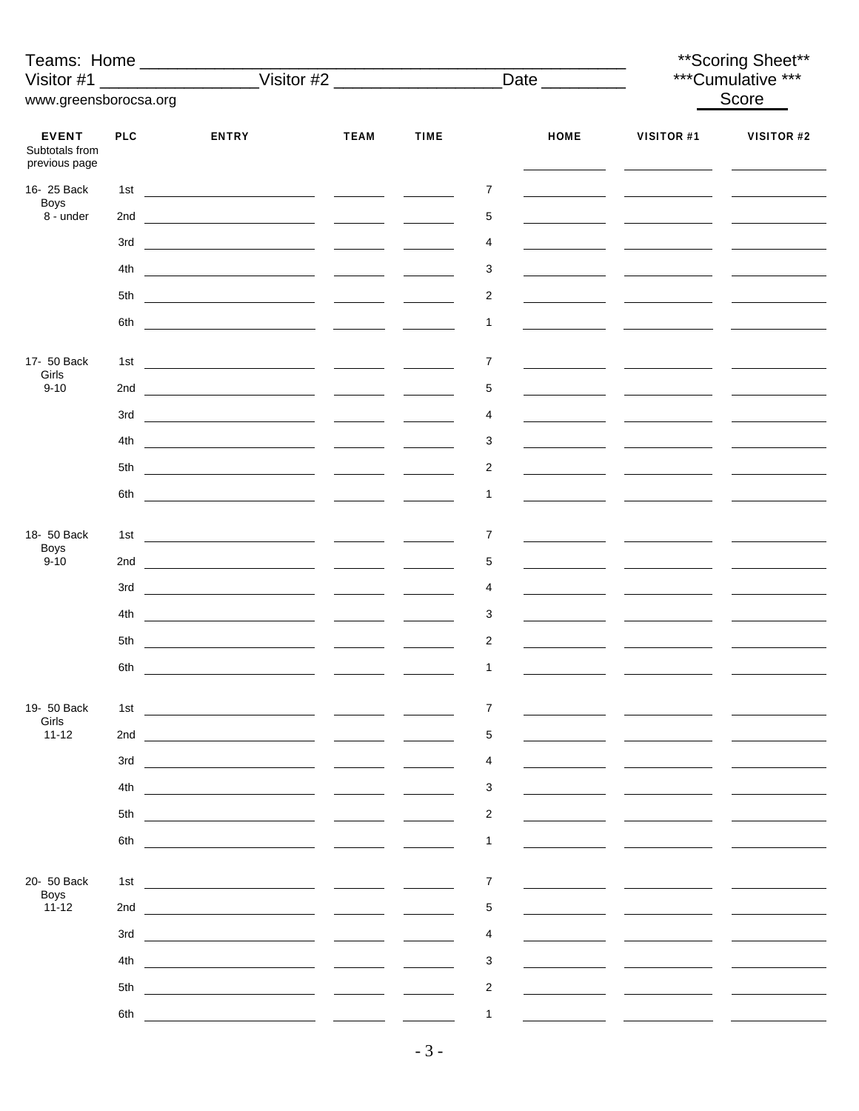| Teams: Home __________________<br>Visitor #1    |            |                                                                                                                                                                                                                                                                                                                                                                                                                                                                                                                               |                                 |                               |                |             |            | ** Scoring Sheet**<br>***Cumulative *** |
|-------------------------------------------------|------------|-------------------------------------------------------------------------------------------------------------------------------------------------------------------------------------------------------------------------------------------------------------------------------------------------------------------------------------------------------------------------------------------------------------------------------------------------------------------------------------------------------------------------------|---------------------------------|-------------------------------|----------------|-------------|------------|-----------------------------------------|
| www.greensborocsa.org                           |            |                                                                                                                                                                                                                                                                                                                                                                                                                                                                                                                               |                                 |                               |                |             |            | Score                                   |
| <b>EVENT</b><br>Subtotals from<br>previous page | <b>PLC</b> | <b>ENTRY</b>                                                                                                                                                                                                                                                                                                                                                                                                                                                                                                                  | <b>TEAM</b>                     | <b>TIME</b>                   |                | <b>HOME</b> | VISITOR #1 | <b>VISITOR #2</b>                       |
| 16-25 Back<br><b>Boys</b>                       | 1st        | <u> 1980 - John Stone, mars et al. (1980), provincial est anno 1980.</u>                                                                                                                                                                                                                                                                                                                                                                                                                                                      |                                 |                               | 7              |             |            |                                         |
| 8 - under                                       |            |                                                                                                                                                                                                                                                                                                                                                                                                                                                                                                                               |                                 |                               | 5              |             |            |                                         |
|                                                 | 3rd        |                                                                                                                                                                                                                                                                                                                                                                                                                                                                                                                               |                                 |                               | 4              |             |            |                                         |
|                                                 | 4th        |                                                                                                                                                                                                                                                                                                                                                                                                                                                                                                                               |                                 |                               | 3              |             |            |                                         |
|                                                 | 5th        |                                                                                                                                                                                                                                                                                                                                                                                                                                                                                                                               |                                 |                               | 2              |             |            |                                         |
|                                                 | 6th        | <u> 1990 - Johann Harry Harry Harry Harry Harry Harry Harry Harry Harry Harry Harry Harry Harry Harry Harry Harry</u>                                                                                                                                                                                                                                                                                                                                                                                                         |                                 |                               | 1              |             |            |                                         |
| 17- 50 Back                                     | 1st        |                                                                                                                                                                                                                                                                                                                                                                                                                                                                                                                               |                                 |                               | $\overline{7}$ |             |            |                                         |
| Girls<br>$9 - 10$                               |            |                                                                                                                                                                                                                                                                                                                                                                                                                                                                                                                               |                                 |                               | 5              |             |            |                                         |
|                                                 |            | $\begin{array}{cccccccccccccc} 3\text{rd} & \text{\textcolor{red}{\textbf{1}}}\; & \text{\textcolor{red}{\textbf{2}}}\; & \text{\textcolor{red}{\textbf{2}}}\; & \text{\textcolor{red}{\textbf{2}}}\; & \text{\textcolor{red}{\textbf{2}}}\; & \text{\textcolor{red}{\textbf{2}}}\; & \text{\textcolor{red}{\textbf{2}}}\; & \text{\textcolor{red}{\textbf{2}}}\; & \text{\textcolor{red}{\textbf{2}}}\; & \text{\textcolor{red}{\textbf{2}}}\; & \text{\textcolor{red}{\textbf{2}}}\; & \text{\textcolor{red}{\textbf{2}}}\$ |                                 |                               | 4              |             |            |                                         |
|                                                 | 4th        |                                                                                                                                                                                                                                                                                                                                                                                                                                                                                                                               |                                 |                               | 3              |             |            |                                         |
|                                                 | 5th        |                                                                                                                                                                                                                                                                                                                                                                                                                                                                                                                               |                                 |                               | 2              |             |            |                                         |
|                                                 | 6th        |                                                                                                                                                                                                                                                                                                                                                                                                                                                                                                                               |                                 |                               | 1              |             |            |                                         |
| 18- 50 Back                                     |            |                                                                                                                                                                                                                                                                                                                                                                                                                                                                                                                               |                                 |                               |                |             |            |                                         |
| <b>Boys</b><br>$9 - 10$                         |            |                                                                                                                                                                                                                                                                                                                                                                                                                                                                                                                               |                                 | $\frac{1}{2}$                 | 7<br>5         |             |            |                                         |
|                                                 |            |                                                                                                                                                                                                                                                                                                                                                                                                                                                                                                                               |                                 |                               | 4              |             |            |                                         |
|                                                 | 4th        |                                                                                                                                                                                                                                                                                                                                                                                                                                                                                                                               |                                 |                               | 3              |             |            |                                         |
|                                                 | 5th        |                                                                                                                                                                                                                                                                                                                                                                                                                                                                                                                               |                                 |                               | $\overline{c}$ |             |            |                                         |
|                                                 | 6th        | <u> 1989 - Andrea Andrew Maria (b. 1989)</u>                                                                                                                                                                                                                                                                                                                                                                                                                                                                                  |                                 |                               | 1              |             |            |                                         |
|                                                 |            |                                                                                                                                                                                                                                                                                                                                                                                                                                                                                                                               |                                 |                               |                |             |            |                                         |
| 19- 50 Back<br>Girls                            | 1st        |                                                                                                                                                                                                                                                                                                                                                                                                                                                                                                                               |                                 | $\mathbf{r}$ and $\mathbf{r}$ | 7              |             |            |                                         |
| $11 - 12$                                       | 2nd        |                                                                                                                                                                                                                                                                                                                                                                                                                                                                                                                               |                                 |                               | 5              |             |            |                                         |
|                                                 | 3rd        |                                                                                                                                                                                                                                                                                                                                                                                                                                                                                                                               |                                 |                               | 4              |             |            |                                         |
|                                                 | 4th        |                                                                                                                                                                                                                                                                                                                                                                                                                                                                                                                               |                                 |                               | 3              |             |            |                                         |
|                                                 | 5th        |                                                                                                                                                                                                                                                                                                                                                                                                                                                                                                                               |                                 |                               | $\overline{c}$ |             |            |                                         |
|                                                 | 6th        |                                                                                                                                                                                                                                                                                                                                                                                                                                                                                                                               |                                 |                               | 1              |             |            |                                         |
| 20- 50 Back                                     | 1st        |                                                                                                                                                                                                                                                                                                                                                                                                                                                                                                                               |                                 |                               | 7              |             |            |                                         |
| <b>Boys</b><br>$11 - 12$                        | 2nd        | the control of the control of the control of the control of the control of the control of                                                                                                                                                                                                                                                                                                                                                                                                                                     |                                 |                               | 5              |             |            |                                         |
|                                                 | 3rd        | <u> 1980 - Andrea Andrew Maria (b. 1980)</u>                                                                                                                                                                                                                                                                                                                                                                                                                                                                                  |                                 |                               | 4              |             |            |                                         |
|                                                 | 4th        |                                                                                                                                                                                                                                                                                                                                                                                                                                                                                                                               | $\frac{1}{2}$ and $\frac{1}{2}$ |                               | 3              |             |            |                                         |
|                                                 | 5th        |                                                                                                                                                                                                                                                                                                                                                                                                                                                                                                                               |                                 |                               | 2              |             |            |                                         |
|                                                 | 6th        |                                                                                                                                                                                                                                                                                                                                                                                                                                                                                                                               |                                 |                               | $\mathbf{1}$   |             |            |                                         |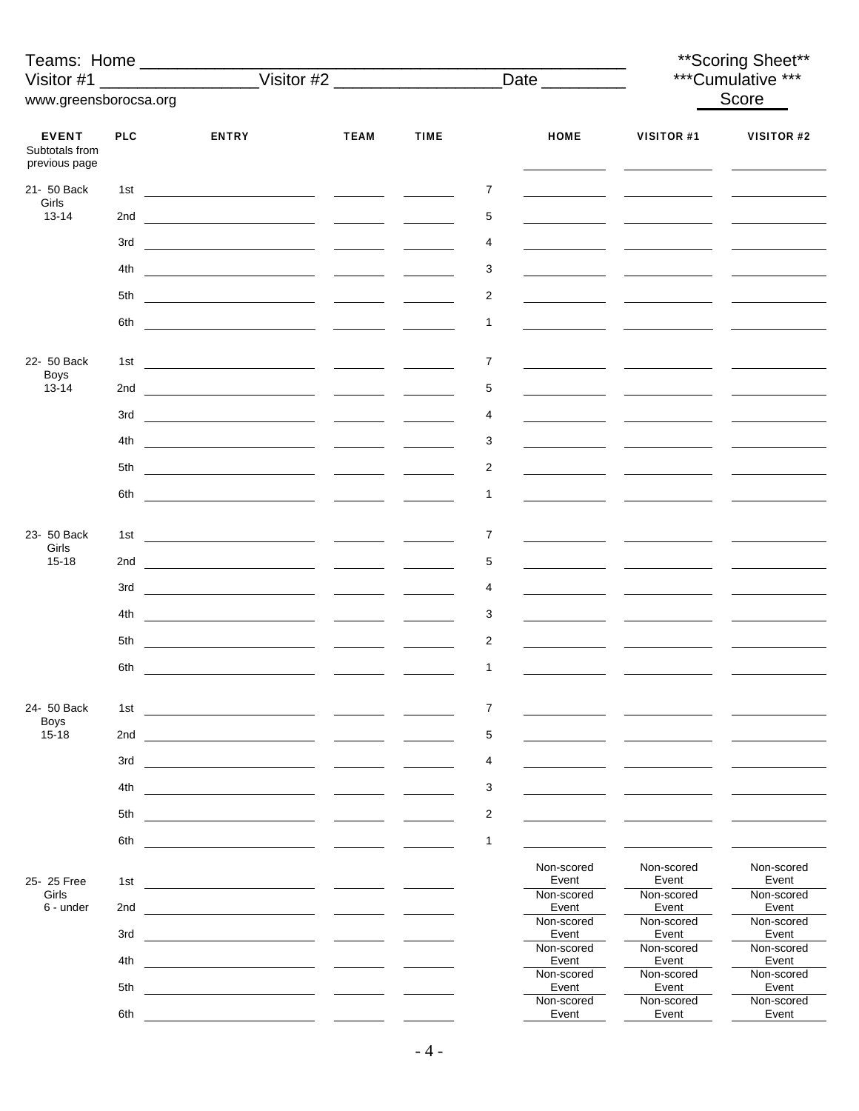| Teams: Home _________________                   |            |                                                                                                                       |                                   |             |                |                     |                     | ** Scoring Sheet**<br>***Cumulative ***<br>Score<br>VISITOR #1<br>VISITOR #2 |  |  |  |
|-------------------------------------------------|------------|-----------------------------------------------------------------------------------------------------------------------|-----------------------------------|-------------|----------------|---------------------|---------------------|------------------------------------------------------------------------------|--|--|--|
| Visitor #1                                      |            |                                                                                                                       |                                   |             |                | Date __________     |                     |                                                                              |  |  |  |
| www.greensborocsa.org                           |            |                                                                                                                       |                                   |             |                |                     |                     |                                                                              |  |  |  |
| <b>EVENT</b><br>Subtotals from<br>previous page | <b>PLC</b> | <b>ENTRY</b>                                                                                                          | <b>TEAM</b>                       | <b>TIME</b> |                | <b>HOME</b>         |                     |                                                                              |  |  |  |
| 21- 50 Back                                     | 1st        | <u> 1980 - John Stone, mars et al. (1980), provincial est anno 1980.</u>                                              |                                   |             | 7              |                     |                     |                                                                              |  |  |  |
| Girls<br>$13 - 14$                              | 2nd        |                                                                                                                       |                                   |             | 5              |                     |                     |                                                                              |  |  |  |
|                                                 | 3rd        |                                                                                                                       |                                   |             | 4              |                     |                     |                                                                              |  |  |  |
|                                                 | 4th        |                                                                                                                       |                                   |             | 3              |                     |                     |                                                                              |  |  |  |
|                                                 | 5th        |                                                                                                                       |                                   |             | 2              |                     |                     |                                                                              |  |  |  |
|                                                 | 6th        | <u> 1990 - Johann Stone, amerikansk politiker (</u>                                                                   |                                   |             | 1              |                     |                     |                                                                              |  |  |  |
|                                                 |            |                                                                                                                       |                                   |             |                |                     |                     |                                                                              |  |  |  |
| 22- 50 Back<br><b>Boys</b><br>$13 - 14$         | 1st        | <u> 1989 - Jan Sarah Barat, masjid aktor a shekara t</u>                                                              |                                   |             | $\overline{7}$ |                     |                     |                                                                              |  |  |  |
|                                                 |            |                                                                                                                       |                                   |             | 5              |                     |                     |                                                                              |  |  |  |
|                                                 |            |                                                                                                                       |                                   |             | 4              |                     |                     |                                                                              |  |  |  |
|                                                 | 4th        |                                                                                                                       |                                   |             | 3              |                     |                     |                                                                              |  |  |  |
|                                                 | 5th        |                                                                                                                       |                                   |             | 2              |                     |                     |                                                                              |  |  |  |
|                                                 | 6th        |                                                                                                                       |                                   |             | 1              |                     |                     |                                                                              |  |  |  |
|                                                 |            |                                                                                                                       |                                   |             | 7              |                     |                     |                                                                              |  |  |  |
| 23- 50 Back<br>Girls                            |            |                                                                                                                       |                                   |             |                |                     |                     |                                                                              |  |  |  |
| $15 - 18$                                       |            |                                                                                                                       |                                   |             | 5              |                     |                     |                                                                              |  |  |  |
|                                                 |            |                                                                                                                       |                                   |             | 4              |                     |                     |                                                                              |  |  |  |
|                                                 | 4th        |                                                                                                                       |                                   |             | 3              |                     |                     |                                                                              |  |  |  |
|                                                 | 5th        |                                                                                                                       |                                   |             | 2              |                     |                     |                                                                              |  |  |  |
|                                                 | 6th        | <u> 1980 - Andrea Andrew Maria (b. 1980)</u>                                                                          |                                   |             | $\mathbf{1}$   |                     |                     |                                                                              |  |  |  |
| 24- 50 Back                                     | 1st        | <u> 1986 - Andrea Andrew Maria (b. 1986)</u>                                                                          |                                   |             | 7              |                     |                     |                                                                              |  |  |  |
| <b>Boys</b><br>$15 - 18$                        | 2nd        |                                                                                                                       |                                   |             | 5              |                     |                     |                                                                              |  |  |  |
|                                                 | 3rd        |                                                                                                                       | <u>and the state of the state</u> |             | 4              |                     |                     |                                                                              |  |  |  |
|                                                 | 4th        |                                                                                                                       |                                   |             | 3              |                     |                     |                                                                              |  |  |  |
|                                                 | 5th        |                                                                                                                       | <u>and the state</u>              |             | $\overline{c}$ |                     |                     |                                                                              |  |  |  |
|                                                 | 6th        |                                                                                                                       |                                   |             | 1              |                     |                     |                                                                              |  |  |  |
|                                                 |            |                                                                                                                       |                                   |             |                | Non-scored          | Non-scored          | Non-scored                                                                   |  |  |  |
| 25-25 Free<br>Girls                             | 1st        |                                                                                                                       |                                   |             |                | Event<br>Non-scored | Event<br>Non-scored | Event<br>Non-scored                                                          |  |  |  |
| 6 - under                                       | 2nd        |                                                                                                                       |                                   |             |                | Event<br>Non-scored | Event<br>Non-scored | Event<br>Non-scored                                                          |  |  |  |
|                                                 | 3rd        |                                                                                                                       |                                   |             |                | Event<br>Non-scored | Event<br>Non-scored | Event<br>Non-scored                                                          |  |  |  |
|                                                 | 4th        | <u> 1980 - Jan Barbara Barbara, maso a popular establecidad e a contrador de la contrador de la contrador de la c</u> |                                   |             |                | Event<br>Non-scored | Event<br>Non-scored | Event<br>Non-scored                                                          |  |  |  |
|                                                 | 5th        |                                                                                                                       |                                   |             |                | Event<br>Non-scored | Event<br>Non-scored | Event<br>Non-scored                                                          |  |  |  |
|                                                 | 6th        |                                                                                                                       |                                   |             |                | Event               | Event               | Event                                                                        |  |  |  |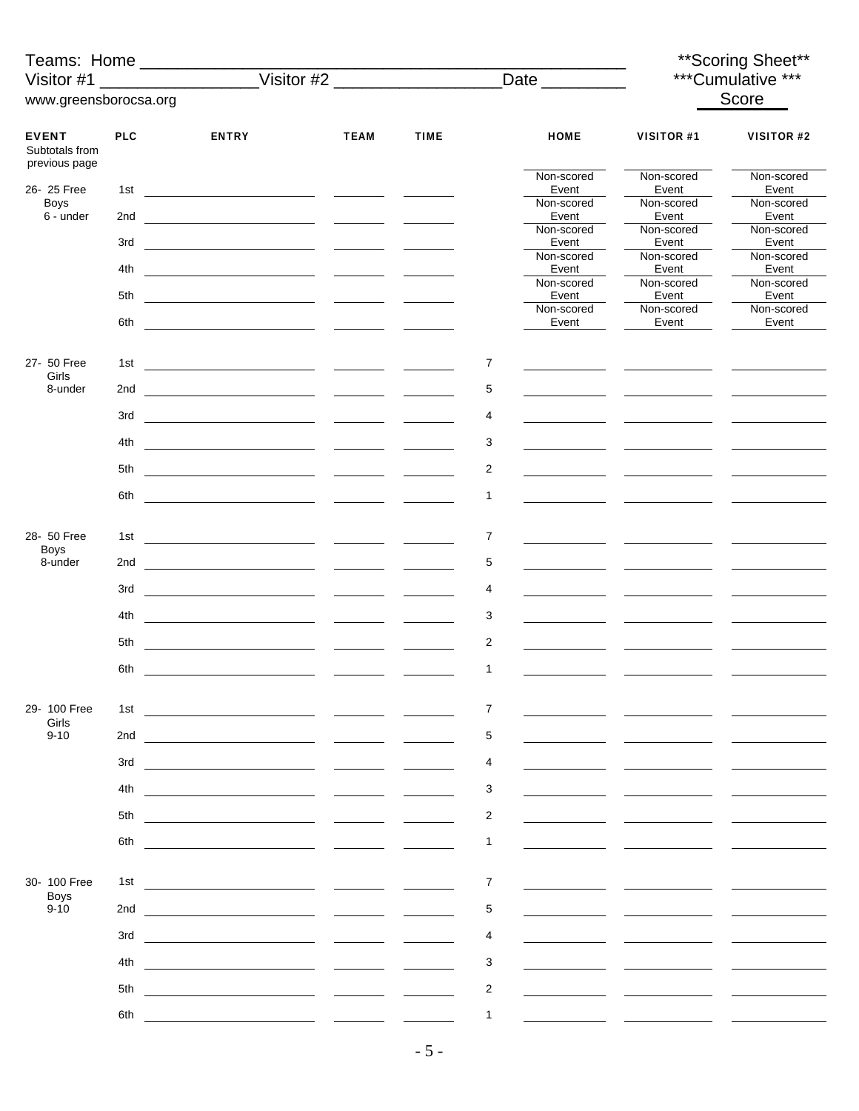| Teams: Home _____________                       |            |                                                               |                                   |             |                |                     | ** Scoring Sheet**  |                     |  |  |
|-------------------------------------------------|------------|---------------------------------------------------------------|-----------------------------------|-------------|----------------|---------------------|---------------------|---------------------|--|--|
| Visitor #1                                      |            |                                                               |                                   |             |                | Date _________      | ***Cumulative ***   |                     |  |  |
| www.greensborocsa.org                           |            |                                                               |                                   |             |                |                     |                     | Score               |  |  |
|                                                 |            |                                                               |                                   |             |                |                     |                     |                     |  |  |
| <b>EVENT</b><br>Subtotals from<br>previous page | <b>PLC</b> | <b>ENTRY</b>                                                  | <b>TEAM</b>                       | <b>TIME</b> |                | <b>HOME</b>         | <b>VISITOR #1</b>   | VISITOR #2          |  |  |
| 26-25 Free                                      | 1st        |                                                               |                                   |             |                | Non-scored<br>Event | Non-scored<br>Event | Non-scored<br>Event |  |  |
| <b>Boys</b>                                     |            |                                                               |                                   |             |                | Non-scored          | Non-scored          | Non-scored          |  |  |
| 6 - under                                       | 2nd        |                                                               |                                   |             |                | Event<br>Non-scored | Event<br>Non-scored | Event<br>Non-scored |  |  |
|                                                 | 3rd        |                                                               |                                   |             |                | Event               | Event               | Event               |  |  |
|                                                 | 4th        |                                                               |                                   |             |                | Non-scored<br>Event | Non-scored<br>Event | Non-scored<br>Event |  |  |
|                                                 |            |                                                               |                                   |             |                | Non-scored          | Non-scored          | Non-scored          |  |  |
|                                                 | 5th        |                                                               |                                   |             |                | Event<br>Non-scored | Event<br>Non-scored | Event<br>Non-scored |  |  |
|                                                 | 6th        |                                                               |                                   |             |                | Event               | Event               | Event               |  |  |
| 27- 50 Free                                     | 1st        |                                                               |                                   |             | 7              |                     |                     |                     |  |  |
| Girls                                           |            |                                                               |                                   |             |                |                     |                     |                     |  |  |
| 8-under                                         | 2nd        |                                                               |                                   |             | 5              |                     |                     |                     |  |  |
|                                                 | 3rd        |                                                               |                                   |             | 4              |                     |                     |                     |  |  |
|                                                 | 4th        |                                                               |                                   |             | 3              |                     |                     |                     |  |  |
|                                                 | 5th        |                                                               |                                   |             | 2              |                     |                     |                     |  |  |
|                                                 | 6th        | <u> 1990 - Johann Barn, amerikansk politiker (</u>            |                                   |             | 1              |                     |                     |                     |  |  |
|                                                 |            |                                                               |                                   |             |                |                     |                     |                     |  |  |
| 28- 50 Free                                     |            |                                                               |                                   |             | 7              |                     |                     |                     |  |  |
| <b>Boys</b><br>8-under                          |            |                                                               |                                   |             | 5              |                     |                     |                     |  |  |
|                                                 |            |                                                               |                                   |             | 4              |                     |                     |                     |  |  |
|                                                 |            |                                                               |                                   |             |                |                     |                     |                     |  |  |
|                                                 | 4th        |                                                               |                                   |             | 3              |                     |                     |                     |  |  |
|                                                 | 5th        |                                                               |                                   |             | $\overline{c}$ |                     |                     |                     |  |  |
|                                                 | 6th        | <u> 1989 - Johann Marie Barn, mars an t-Amerikaansk konst</u> |                                   |             | 1              |                     |                     |                     |  |  |
|                                                 |            |                                                               |                                   |             |                |                     |                     |                     |  |  |
| 29-100 Free<br>Girls                            | 1st        |                                                               |                                   |             | 7              |                     |                     |                     |  |  |
| $9 - 10$                                        | 2nd        |                                                               |                                   |             | 5              |                     |                     |                     |  |  |
|                                                 | 3rd        |                                                               |                                   |             | 4              |                     |                     |                     |  |  |
|                                                 | 4th        |                                                               |                                   |             | 3              |                     |                     |                     |  |  |
|                                                 | 5th        |                                                               |                                   |             | 2              |                     |                     |                     |  |  |
|                                                 | 6th        |                                                               |                                   |             | $\mathbf{1}$   |                     |                     |                     |  |  |
|                                                 |            |                                                               |                                   |             |                |                     |                     |                     |  |  |
| 30- 100 Free                                    | 1st        |                                                               | <b>Contract Contract Contract</b> |             | $\overline{7}$ |                     |                     |                     |  |  |
| <b>Boys</b><br>$9 - 10$                         | 2nd        |                                                               |                                   |             | 5              |                     |                     |                     |  |  |
|                                                 | 3rd        |                                                               |                                   |             | 4              |                     |                     |                     |  |  |
|                                                 | 4th        |                                                               |                                   |             | 3              |                     |                     |                     |  |  |
|                                                 | 5th        |                                                               |                                   |             | 2              |                     |                     |                     |  |  |
|                                                 |            |                                                               |                                   |             |                |                     |                     |                     |  |  |
|                                                 | 6th        |                                                               |                                   |             | 1              |                     |                     |                     |  |  |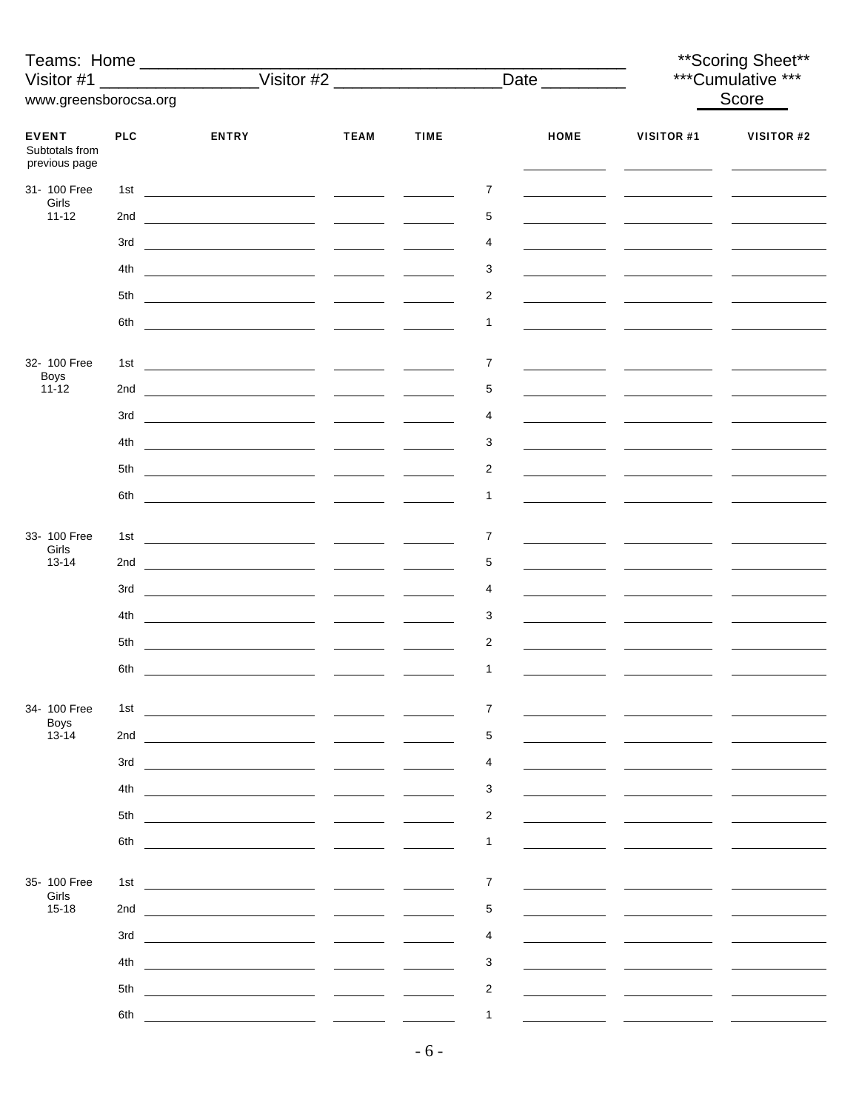|                                                 |            | Teams: Home _____________                                                                                                                                                                                                            |                                 |             |                | Date _________ |                   | ** Scoring Sheet**<br>***Cumulative *** |
|-------------------------------------------------|------------|--------------------------------------------------------------------------------------------------------------------------------------------------------------------------------------------------------------------------------------|---------------------------------|-------------|----------------|----------------|-------------------|-----------------------------------------|
| www.greensborocsa.org                           |            |                                                                                                                                                                                                                                      |                                 |             |                |                |                   | Score                                   |
|                                                 |            |                                                                                                                                                                                                                                      |                                 |             |                |                |                   |                                         |
| <b>EVENT</b><br>Subtotals from<br>previous page | <b>PLC</b> | <b>ENTRY</b>                                                                                                                                                                                                                         | <b>TEAM</b>                     | <b>TIME</b> |                | <b>HOME</b>    | <b>VISITOR #1</b> | VISITOR #2                              |
| 31- 100 Free<br>Girls                           |            |                                                                                                                                                                                                                                      |                                 |             | 7              |                |                   |                                         |
| $11 - 12$                                       |            |                                                                                                                                                                                                                                      |                                 |             | 5              |                |                   |                                         |
|                                                 |            |                                                                                                                                                                                                                                      |                                 |             | 4              |                |                   |                                         |
|                                                 |            |                                                                                                                                                                                                                                      |                                 |             | 3              |                |                   |                                         |
|                                                 | 5th        |                                                                                                                                                                                                                                      |                                 |             | 2              |                |                   |                                         |
|                                                 | 6th        |                                                                                                                                                                                                                                      |                                 |             | 1              |                |                   |                                         |
|                                                 |            |                                                                                                                                                                                                                                      |                                 |             |                |                |                   |                                         |
| 32- 100 Free<br><b>Boys</b><br>$11 - 12$        | 1st        |                                                                                                                                                                                                                                      |                                 |             | 7              |                |                   |                                         |
|                                                 |            |                                                                                                                                                                                                                                      |                                 |             | 5              |                |                   |                                         |
|                                                 |            |                                                                                                                                                                                                                                      |                                 |             | 4              |                |                   |                                         |
|                                                 | 4th        |                                                                                                                                                                                                                                      |                                 |             | 3              |                |                   |                                         |
|                                                 |            |                                                                                                                                                                                                                                      |                                 |             | 2              |                |                   |                                         |
|                                                 | 6th        | <u> The Communication of the Communication of the Communication of the Communication of the Communication of the Communication of the Communication of the Communication of the Communication of the Communication of the Commun</u> |                                 |             | 1              |                |                   |                                         |
| 33- 100 Free                                    |            |                                                                                                                                                                                                                                      |                                 |             | 7              |                |                   |                                         |
| Girls<br>$13 - 14$                              |            |                                                                                                                                                                                                                                      |                                 |             | 5              |                |                   |                                         |
|                                                 |            |                                                                                                                                                                                                                                      |                                 |             | 4              |                |                   |                                         |
|                                                 | 4th        |                                                                                                                                                                                                                                      |                                 |             | 3              |                |                   |                                         |
|                                                 | 5th        |                                                                                                                                                                                                                                      |                                 |             | 2              |                |                   |                                         |
|                                                 |            |                                                                                                                                                                                                                                      |                                 |             | 1              |                |                   |                                         |
|                                                 |            |                                                                                                                                                                                                                                      |                                 |             |                |                |                   |                                         |
| 34- 100 Free<br><b>Boys</b>                     | 1st        |                                                                                                                                                                                                                                      |                                 |             | 7              |                |                   |                                         |
| $13 - 14$                                       | 2nd        |                                                                                                                                                                                                                                      |                                 |             | 5              |                |                   |                                         |
|                                                 | 3rd        |                                                                                                                                                                                                                                      |                                 |             | 4              |                |                   |                                         |
|                                                 | 4th        |                                                                                                                                                                                                                                      |                                 |             | 3              |                |                   |                                         |
|                                                 | 5th        |                                                                                                                                                                                                                                      |                                 |             | 2              |                |                   |                                         |
|                                                 | 6th        |                                                                                                                                                                                                                                      |                                 |             | 1              |                |                   |                                         |
| 35- 100 Free                                    |            |                                                                                                                                                                                                                                      |                                 |             |                |                |                   |                                         |
| Girls                                           | 1st        | <u> 1980 - Jan Samuel Barbara, político establecido en la contrada de la contrada de la contrada de la contrada d</u>                                                                                                                |                                 |             | 7              |                |                   |                                         |
| $15 - 18$                                       | 2nd        | <u> 1980 - John Stein, mars and de Branch and de Branch and de Branch and de Branch and de Branch and de Branch an</u>                                                                                                               | $\frac{1}{2}$ and $\frac{1}{2}$ |             | 5              |                |                   |                                         |
|                                                 | 3rd        |                                                                                                                                                                                                                                      |                                 |             | 4              |                |                   |                                         |
|                                                 | 4th        | <u>and the company of the company of the company of the company of the company of the company of the company of the company of the company of the company of the company of the company of the company of the company of the com</u> |                                 |             | 3              |                |                   |                                         |
|                                                 | 5th        |                                                                                                                                                                                                                                      |                                 |             | $\overline{c}$ |                |                   |                                         |
|                                                 | 6th        |                                                                                                                                                                                                                                      |                                 |             | $\mathbf{1}$   |                |                   |                                         |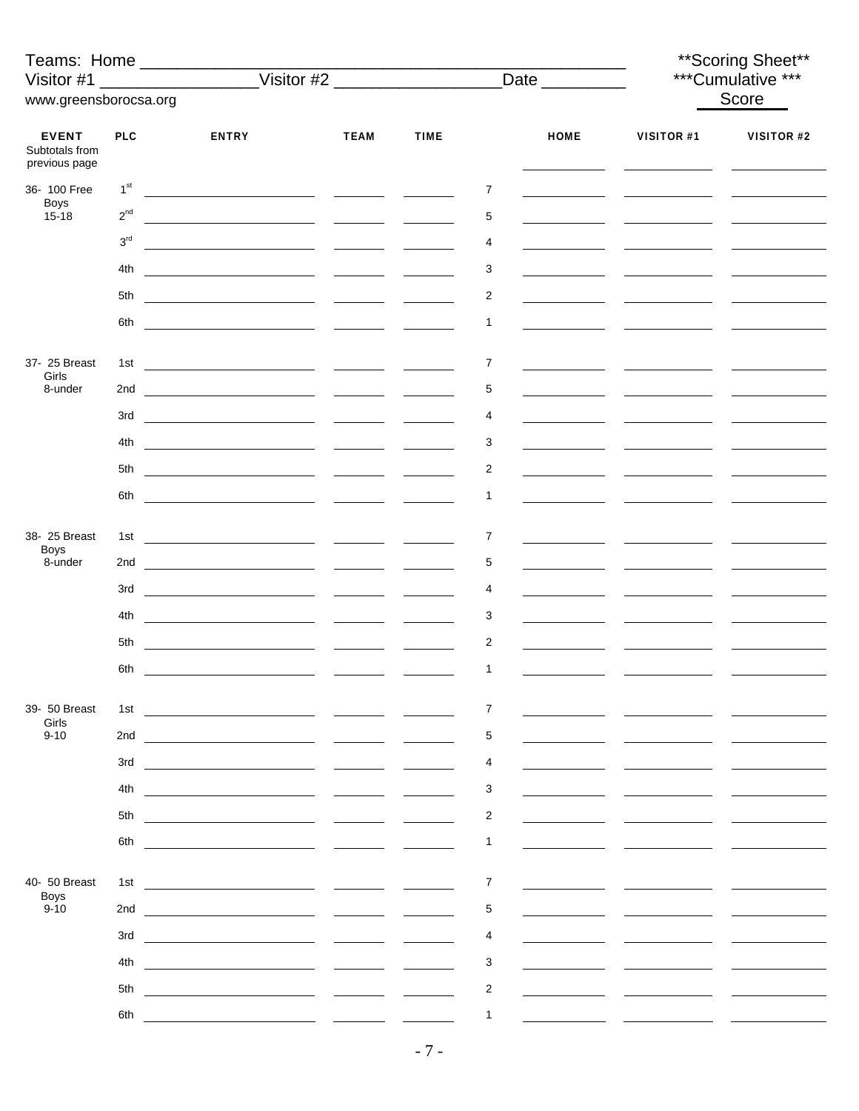| Teams: Home _________________<br>Visitor #1     |                 |                                                                                                                                                                                                                                      |                                                  |             |                |             |            | ** Scoring Sheet**<br>***Cumulative *** |
|-------------------------------------------------|-----------------|--------------------------------------------------------------------------------------------------------------------------------------------------------------------------------------------------------------------------------------|--------------------------------------------------|-------------|----------------|-------------|------------|-----------------------------------------|
| www.greensborocsa.org                           |                 |                                                                                                                                                                                                                                      |                                                  |             |                |             |            | Score                                   |
| <b>EVENT</b><br>Subtotals from<br>previous page | <b>PLC</b>      | <b>ENTRY</b>                                                                                                                                                                                                                         | <b>TEAM</b>                                      | <b>TIME</b> |                | <b>HOME</b> | VISITOR #1 | VISITOR #2                              |
| 36- 100 Free                                    | 1 <sup>st</sup> |                                                                                                                                                                                                                                      |                                                  |             | 7              |             |            |                                         |
| <b>Boys</b><br>$15 - 18$                        | $2^{nd}$        |                                                                                                                                                                                                                                      |                                                  |             | 5              |             |            |                                         |
|                                                 | 3 <sup>rd</sup> |                                                                                                                                                                                                                                      |                                                  |             | 4              |             |            |                                         |
|                                                 | 4th             | <u> 1989 - Johann Marie Barn, mars an t-Amerikaansk konst</u>                                                                                                                                                                        |                                                  |             | 3              |             |            |                                         |
|                                                 | 5th             |                                                                                                                                                                                                                                      |                                                  |             | 2              |             |            |                                         |
|                                                 | 6th             |                                                                                                                                                                                                                                      |                                                  |             | $\mathbf{1}$   |             |            |                                         |
|                                                 |                 |                                                                                                                                                                                                                                      |                                                  |             |                |             |            |                                         |
| 37- 25 Breast                                   | 1st             |                                                                                                                                                                                                                                      |                                                  |             | 7              |             |            |                                         |
| Girls<br>8-under                                | 2nd             |                                                                                                                                                                                                                                      |                                                  |             | 5              |             |            |                                         |
|                                                 | 3rd             |                                                                                                                                                                                                                                      |                                                  |             | 4              |             |            |                                         |
|                                                 | 4th             |                                                                                                                                                                                                                                      |                                                  |             | 3              |             |            |                                         |
|                                                 |                 |                                                                                                                                                                                                                                      |                                                  |             | $\overline{2}$ |             |            |                                         |
|                                                 | 6th             |                                                                                                                                                                                                                                      |                                                  |             | 1              |             |            |                                         |
|                                                 |                 |                                                                                                                                                                                                                                      |                                                  |             |                |             |            |                                         |
| 38- 25 Breast<br><b>Boys</b>                    |                 |                                                                                                                                                                                                                                      |                                                  |             | 7              |             |            |                                         |
| 8-under                                         |                 |                                                                                                                                                                                                                                      |                                                  |             | 5              |             |            |                                         |
|                                                 | 3rd             |                                                                                                                                                                                                                                      |                                                  |             | 4              |             |            |                                         |
|                                                 | 4th             |                                                                                                                                                                                                                                      |                                                  |             | 3              |             |            |                                         |
|                                                 | 5th             |                                                                                                                                                                                                                                      |                                                  |             | 2              |             |            |                                         |
|                                                 | 6th             | <u> 1980 - John Stone, amerikansk politiker (</u>                                                                                                                                                                                    |                                                  |             | $\mathbf{1}$   |             |            |                                         |
|                                                 |                 |                                                                                                                                                                                                                                      |                                                  |             |                |             |            |                                         |
| 39- 50 Breast<br>Girls                          | 1st             | <u> 1999 - Johann John Harry Harry Harry Harry Harry Harry Harry Harry Harry Harry Harry Harry Harry Harry Harry Harry Harry Harry Harry Harry Harry Harry Harry Harry Harry Harry Harry Harry Harry Harry Harry Harry Harry Har</u> |                                                  |             | 7              |             |            |                                         |
| $9 - 10$                                        | 2nd             |                                                                                                                                                                                                                                      |                                                  |             | 5              |             |            |                                         |
|                                                 | 3rd             |                                                                                                                                                                                                                                      |                                                  |             | 4              |             |            |                                         |
|                                                 | 4th             |                                                                                                                                                                                                                                      |                                                  |             | 3              |             |            |                                         |
|                                                 | 5th             | <u> 1989 - Andrea Andrew Maria (b. 1989)</u>                                                                                                                                                                                         |                                                  |             | $\overline{c}$ |             |            |                                         |
|                                                 | 6th             |                                                                                                                                                                                                                                      | <u>and</u> the state                             |             | $\mathbf{1}$   |             |            |                                         |
|                                                 |                 |                                                                                                                                                                                                                                      |                                                  |             |                |             |            |                                         |
| 40- 50 Breast<br><b>Boys</b>                    | 1st             |                                                                                                                                                                                                                                      |                                                  |             | $\overline{7}$ |             |            |                                         |
| $9 - 10$                                        | 2nd             |                                                                                                                                                                                                                                      |                                                  |             | 5              |             |            |                                         |
|                                                 | 3rd             |                                                                                                                                                                                                                                      | $\sim$ $\sim$ $\sim$ $\sim$ $\sim$ $\sim$ $\sim$ |             | 4              |             |            |                                         |
|                                                 | 4th             |                                                                                                                                                                                                                                      |                                                  |             | 3              |             |            |                                         |
|                                                 | 5th             |                                                                                                                                                                                                                                      |                                                  |             | $\overline{2}$ |             |            |                                         |
|                                                 | 6th             |                                                                                                                                                                                                                                      |                                                  |             | 1              |             |            |                                         |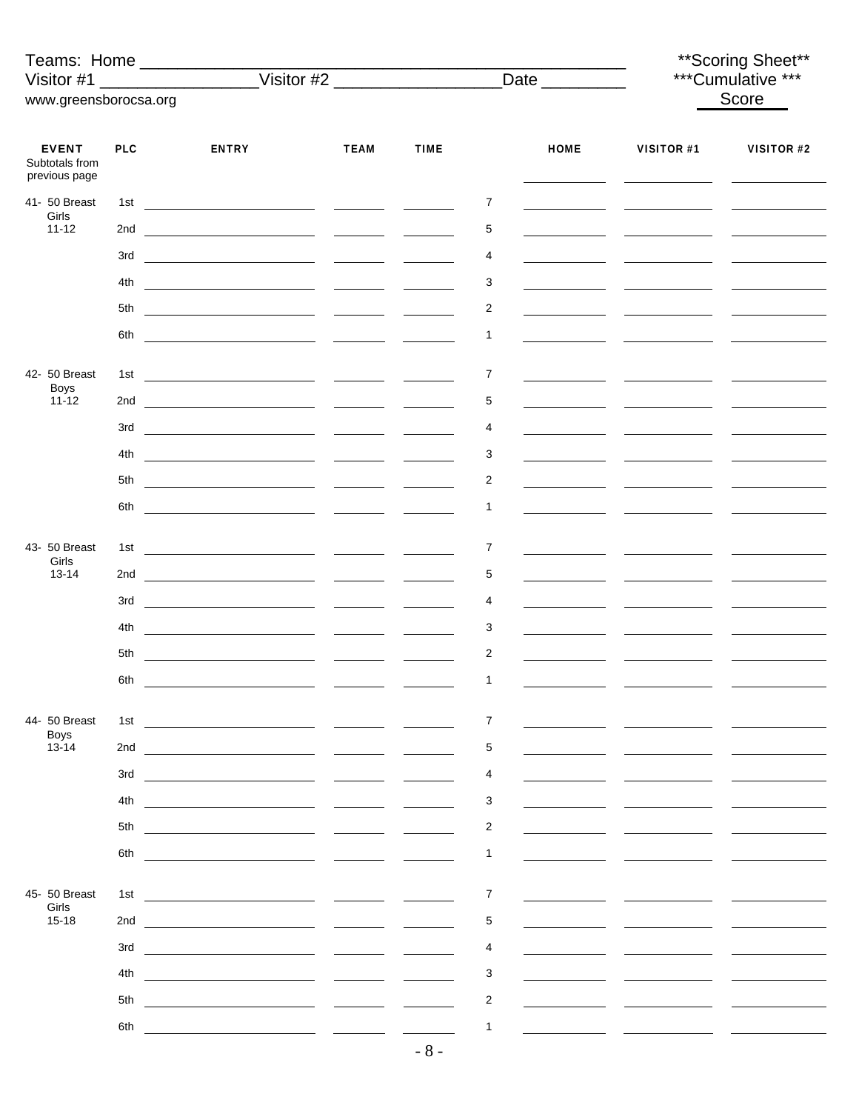|                                                 |            | Teams: Home                                                                                                                                                                                                                          |             |                                                   |                |             |                                               | ** Scoring Sheet** |
|-------------------------------------------------|------------|--------------------------------------------------------------------------------------------------------------------------------------------------------------------------------------------------------------------------------------|-------------|---------------------------------------------------|----------------|-------------|-----------------------------------------------|--------------------|
| Visitor #1                                      |            | ________________________Visitor #2 _____________________________Date ___________                                                                                                                                                     |             |                                                   |                |             |                                               | ***Cumulative ***  |
| www.greensborocsa.org                           |            |                                                                                                                                                                                                                                      |             |                                                   |                |             |                                               | Score              |
| <b>EVENT</b><br>Subtotals from<br>previous page | <b>PLC</b> | <b>ENTRY</b>                                                                                                                                                                                                                         | <b>TEAM</b> | <b>TIME</b>                                       |                | <b>HOME</b> | VISITOR #1<br>the contract of the contract of | VISITOR #2         |
| 41- 50 Breast                                   | 1st        |                                                                                                                                                                                                                                      |             |                                                   | $\overline{7}$ |             |                                               |                    |
| Girls<br>$11 - 12$                              | 2nd        |                                                                                                                                                                                                                                      |             |                                                   | 5              |             |                                               |                    |
|                                                 | 3rd        | <u> 1990 - Jan Barbara Barbara, martxa a shekara 1991 - An tsa a tsara 1991 - An tsa a tsa a tsa a tsa a tsa a ts</u>                                                                                                                |             |                                                   | 4              |             |                                               |                    |
|                                                 | 4th        |                                                                                                                                                                                                                                      |             |                                                   | 3              |             |                                               |                    |
|                                                 | 5th        | <u> 1980 - Johann Marie Barn, mars eta inperiodo</u>                                                                                                                                                                                 |             |                                                   | $\overline{2}$ |             |                                               |                    |
|                                                 | 6th        | <u> 1990 - Johann Harry Harry Harry Harry Harry Harry Harry Harry Harry Harry Harry Harry Harry Harry Harry Harry Harry Harry Harry Harry Harry Harry Harry Harry Harry Harry Harry Harry Harry Harry Harry Harry Harry Harry Ha</u> |             |                                                   | 1              |             |                                               |                    |
|                                                 |            |                                                                                                                                                                                                                                      |             |                                                   |                |             |                                               |                    |
| 42- 50 Breast<br><b>Boys</b><br>$11 - 12$       | 1st        |                                                                                                                                                                                                                                      |             |                                                   | $\overline{7}$ |             |                                               |                    |
|                                                 |            |                                                                                                                                                                                                                                      |             |                                                   | 5              |             |                                               |                    |
|                                                 | 3rd        | <u> 1990 - Johann Barbara, martin a</u>                                                                                                                                                                                              |             |                                                   | 4              |             |                                               |                    |
|                                                 | 4th        |                                                                                                                                                                                                                                      |             |                                                   | 3              |             |                                               |                    |
|                                                 | 5th        |                                                                                                                                                                                                                                      |             |                                                   | 2              |             |                                               |                    |
|                                                 | 6th        |                                                                                                                                                                                                                                      |             |                                                   | 1              |             |                                               |                    |
| 43- 50 Breast                                   | 1st        |                                                                                                                                                                                                                                      |             |                                                   | 7              |             |                                               |                    |
| Girls<br>$13 - 14$                              |            |                                                                                                                                                                                                                                      |             |                                                   | 5              |             |                                               |                    |
|                                                 | 3rd        |                                                                                                                                                                                                                                      |             |                                                   | 4              |             |                                               |                    |
|                                                 | 4th        |                                                                                                                                                                                                                                      |             |                                                   | 3              |             |                                               |                    |
|                                                 | 5th        |                                                                                                                                                                                                                                      |             |                                                   | 2              |             |                                               |                    |
|                                                 |            |                                                                                                                                                                                                                                      |             |                                                   | 1              |             |                                               |                    |
|                                                 | 6th        |                                                                                                                                                                                                                                      |             |                                                   |                |             |                                               |                    |
| 44- 50 Breast                                   | 1st        |                                                                                                                                                                                                                                      |             | $\frac{1}{2}$ and $\frac{1}{2}$ and $\frac{1}{2}$ | $\overline{7}$ |             |                                               |                    |
| <b>Boys</b><br>$13 - 14$                        | 2nd        |                                                                                                                                                                                                                                      |             |                                                   | 5              |             |                                               |                    |
|                                                 | 3rd        |                                                                                                                                                                                                                                      |             |                                                   | 4              |             |                                               |                    |
|                                                 | 4th        |                                                                                                                                                                                                                                      |             |                                                   | 3              |             |                                               |                    |
|                                                 | 5th        |                                                                                                                                                                                                                                      |             |                                                   | 2              |             |                                               |                    |
|                                                 | 6th        |                                                                                                                                                                                                                                      |             |                                                   | 1              |             |                                               |                    |
|                                                 |            |                                                                                                                                                                                                                                      |             |                                                   |                |             |                                               |                    |
| 45- 50 Breast<br>Girls                          | 1st        | <u> 1989 - Johann Barbara, martxa eta politikar</u>                                                                                                                                                                                  |             |                                                   | 7              |             |                                               |                    |
| $15 - 18$                                       | 2nd        |                                                                                                                                                                                                                                      |             |                                                   | 5              |             |                                               |                    |
|                                                 | 3rd        |                                                                                                                                                                                                                                      |             |                                                   | 4              |             |                                               |                    |
|                                                 | 4th        |                                                                                                                                                                                                                                      |             |                                                   | 3              |             |                                               |                    |
|                                                 | 5th        |                                                                                                                                                                                                                                      |             |                                                   | $\overline{c}$ |             |                                               |                    |
|                                                 | 6th        |                                                                                                                                                                                                                                      |             |                                                   | 1              |             |                                               |                    |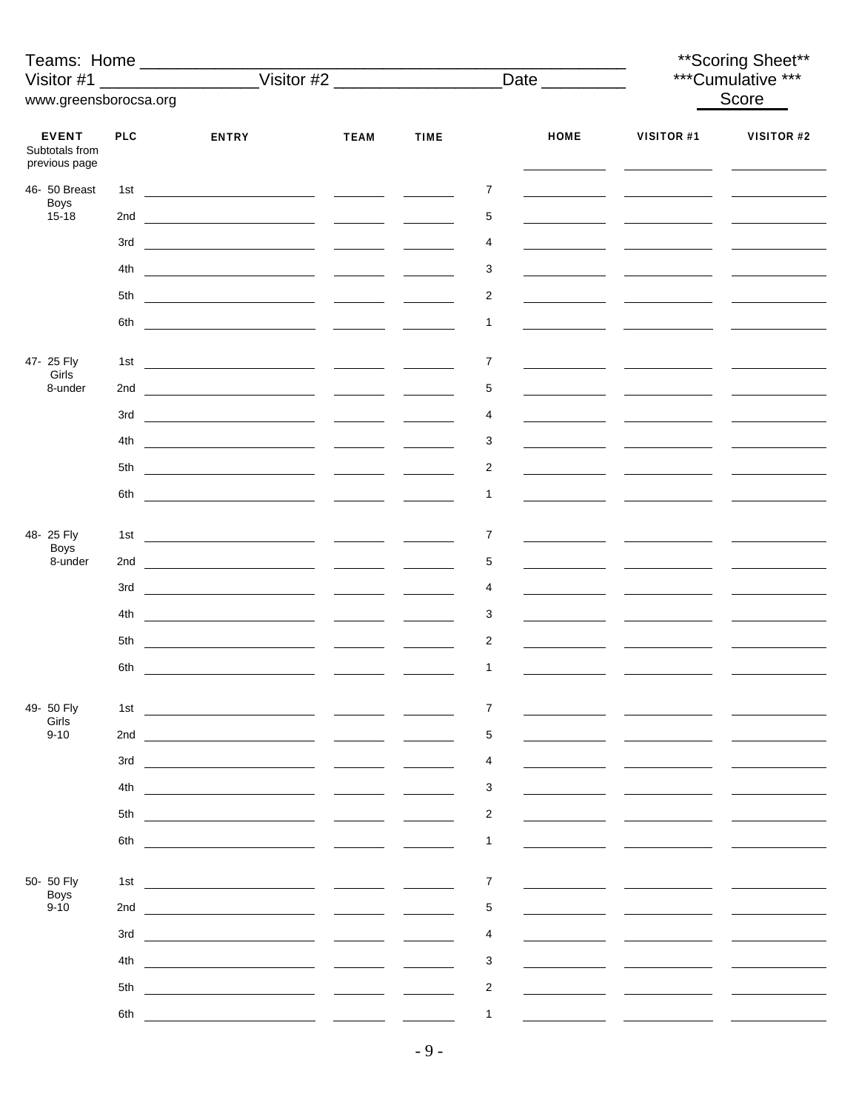| Teams: Home<br>Visitor #1                       |            |                                                                                                                      |                                                   |             |                         |             | ** Scoring Sheet**<br>***Cumulative *** |            |  |
|-------------------------------------------------|------------|----------------------------------------------------------------------------------------------------------------------|---------------------------------------------------|-------------|-------------------------|-------------|-----------------------------------------|------------|--|
| www.greensborocsa.org                           |            |                                                                                                                      |                                                   |             |                         |             | Score                                   |            |  |
| <b>EVENT</b><br>Subtotals from<br>previous page | <b>PLC</b> | <b>ENTRY</b>                                                                                                         | <b>TEAM</b>                                       | <b>TIME</b> |                         | <b>HOME</b> | <b>VISITOR #1</b>                       | VISITOR #2 |  |
| 46- 50 Breast                                   | 1st        |                                                                                                                      |                                                   |             | 7                       |             |                                         |            |  |
| <b>Boys</b><br>$15 - 18$                        |            |                                                                                                                      |                                                   |             | 5                       |             |                                         |            |  |
|                                                 | 3rd        |                                                                                                                      |                                                   |             | 4                       |             |                                         |            |  |
|                                                 | 4th        |                                                                                                                      |                                                   |             | 3                       |             |                                         |            |  |
|                                                 |            |                                                                                                                      |                                                   |             | 2                       |             |                                         |            |  |
|                                                 |            |                                                                                                                      |                                                   |             | $\mathbf{1}$            |             |                                         |            |  |
|                                                 |            |                                                                                                                      |                                                   |             |                         |             |                                         |            |  |
| 47- 25 Fly<br>Girls<br>8-under                  | 1st        |                                                                                                                      |                                                   |             | 7                       |             |                                         |            |  |
|                                                 |            |                                                                                                                      |                                                   |             | 5                       |             |                                         |            |  |
|                                                 |            |                                                                                                                      |                                                   |             | 4                       |             |                                         |            |  |
|                                                 | 4th        |                                                                                                                      |                                                   |             | 3                       |             |                                         |            |  |
|                                                 | 5th        |                                                                                                                      |                                                   |             | 2                       |             |                                         |            |  |
|                                                 | 6th        |                                                                                                                      |                                                   |             | $\mathbf{1}$            |             |                                         |            |  |
| 48-25 Fly                                       |            |                                                                                                                      |                                                   |             | 7                       |             |                                         |            |  |
| <b>Boys</b><br>8-under                          |            |                                                                                                                      |                                                   |             | 5                       |             |                                         |            |  |
|                                                 | 3rd        |                                                                                                                      |                                                   |             | 4                       |             |                                         |            |  |
|                                                 |            | <u> 1980 - Johann Barnett, fransk politik (</u> † 1922)                                                              |                                                   |             |                         |             |                                         |            |  |
|                                                 | 4th        |                                                                                                                      |                                                   |             | 3                       |             |                                         |            |  |
|                                                 | 5th        |                                                                                                                      |                                                   |             | $\overline{2}$          |             |                                         |            |  |
|                                                 | 6th        | <u> 1989 - Andrea Andrew Maria (b. 1989)</u>                                                                         |                                                   |             | $\mathbf{1}$            |             |                                         |            |  |
| 49- 50 Fly                                      | 1st        | <u> 1990 - Jan Barbara Barbara, política española</u>                                                                |                                                   |             | 7                       |             |                                         |            |  |
| Girls<br>$9 - 10$                               | 2nd        |                                                                                                                      |                                                   |             | 5                       |             |                                         |            |  |
|                                                 | 3rd        |                                                                                                                      |                                                   |             | 4                       |             |                                         |            |  |
|                                                 | 4th        |                                                                                                                      |                                                   |             | 3                       |             |                                         |            |  |
|                                                 | 5th        | <u> 1980 - Jan Barbara Barbara, ma</u>                                                                               |                                                   |             | 2                       |             |                                         |            |  |
|                                                 | 6th        |                                                                                                                      |                                                   |             | $\mathbf{1}$            |             |                                         |            |  |
|                                                 |            |                                                                                                                      |                                                   |             |                         |             |                                         |            |  |
| 50- 50 Fly<br><b>Boys</b>                       | 1st        |                                                                                                                      |                                                   |             | $\overline{7}$          |             |                                         |            |  |
| $9 - 10$                                        | 2nd        |                                                                                                                      | <b>Contract Contract</b>                          |             | 5                       |             |                                         |            |  |
|                                                 | 3rd        | <u> 1980 - Jan Stein Stein Stein Stein Stein Stein Stein Stein Stein Stein Stein Stein Stein Stein Stein Stein S</u> |                                                   |             | 4                       |             |                                         |            |  |
|                                                 | 4th        |                                                                                                                      | $\frac{1}{2}$ and $\frac{1}{2}$ and $\frac{1}{2}$ |             | 3                       |             |                                         |            |  |
|                                                 | 5th        |                                                                                                                      |                                                   |             | $\overline{\mathbf{c}}$ |             |                                         |            |  |
|                                                 | 6th        |                                                                                                                      |                                                   |             | $\mathbf{1}$            |             |                                         |            |  |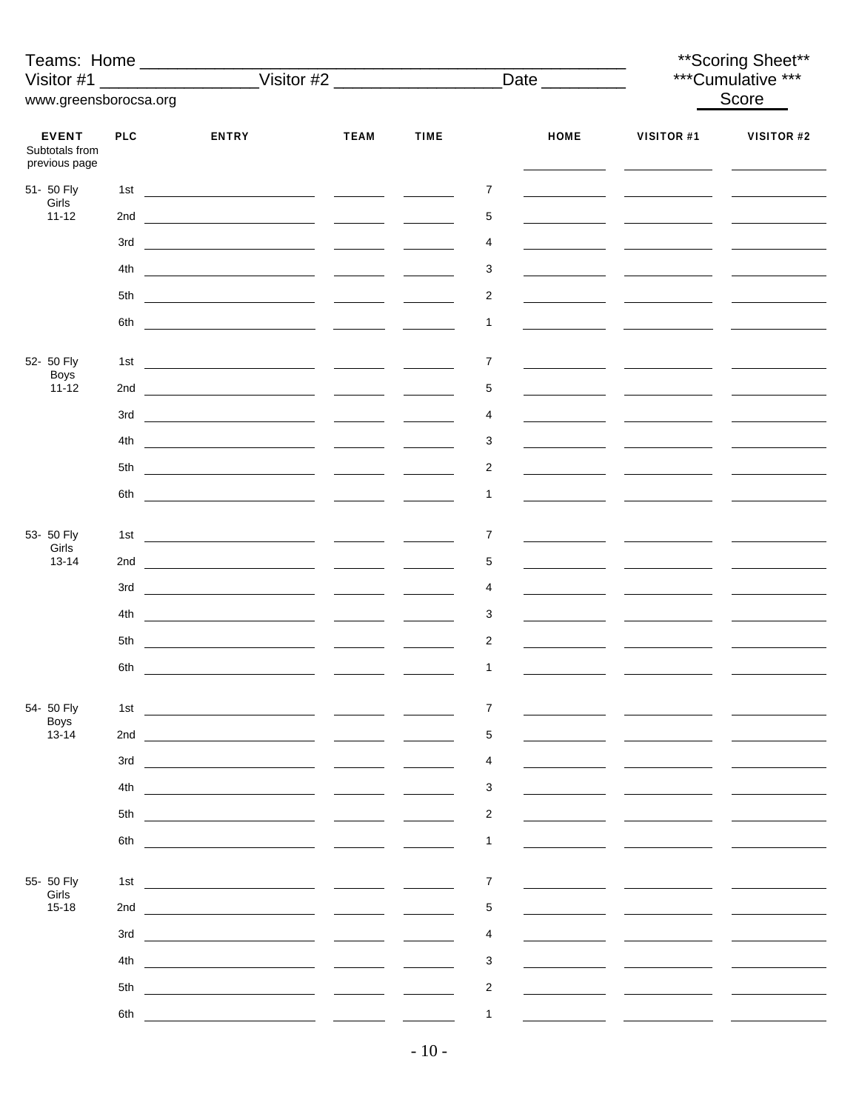| Teams: Home                                     |            | Visitor #1 ____________________Visitor #2 ________________________Date _________ |             |               |                         |             | ** Scoring Sheet**<br>***Cumulative *** |            |
|-------------------------------------------------|------------|----------------------------------------------------------------------------------|-------------|---------------|-------------------------|-------------|-----------------------------------------|------------|
| www.greensborocsa.org                           |            |                                                                                  |             |               |                         |             |                                         | Score      |
|                                                 |            |                                                                                  |             |               |                         |             |                                         |            |
| <b>EVENT</b><br>Subtotals from<br>previous page | <b>PLC</b> | <b>ENTRY</b>                                                                     | <b>TEAM</b> | <b>TIME</b>   |                         | <b>HOME</b> | <b>VISITOR #1</b>                       | VISITOR #2 |
| 51- 50 Fly                                      |            |                                                                                  |             |               | 7                       |             |                                         |            |
| Girls<br>$11 - 12$                              |            |                                                                                  |             |               | 5                       |             |                                         |            |
|                                                 | 3rd        |                                                                                  |             |               | 4                       |             |                                         |            |
|                                                 |            |                                                                                  |             |               | 3                       |             |                                         |            |
|                                                 |            |                                                                                  |             |               | 2                       |             |                                         |            |
|                                                 |            |                                                                                  |             |               |                         |             |                                         |            |
|                                                 |            |                                                                                  |             |               | 1                       |             |                                         |            |
| 52- 50 Fly                                      | 1st        |                                                                                  |             |               | $\overline{7}$          |             |                                         |            |
| Boys<br>$11 - 12$                               |            |                                                                                  |             |               | 5                       |             |                                         |            |
|                                                 |            |                                                                                  |             |               | 4                       |             |                                         |            |
|                                                 | 4th        |                                                                                  |             |               | 3                       |             |                                         |            |
|                                                 |            |                                                                                  |             |               | 2                       |             |                                         |            |
|                                                 |            |                                                                                  |             |               | 1                       |             |                                         |            |
|                                                 |            |                                                                                  |             |               |                         |             |                                         |            |
| 53- 50 Fly                                      |            |                                                                                  |             |               | 7                       |             |                                         |            |
| Girls<br>$13 - 14$                              |            |                                                                                  |             |               | 5                       |             |                                         |            |
|                                                 |            |                                                                                  |             |               | 4                       |             |                                         |            |
|                                                 | 4th        |                                                                                  |             |               | 3                       |             |                                         |            |
|                                                 | 5th        |                                                                                  |             |               | $\overline{c}$          |             |                                         |            |
|                                                 |            |                                                                                  |             |               | $\mathbf{1}$            |             |                                         |            |
|                                                 |            |                                                                                  |             |               |                         |             |                                         |            |
| 54- 50 Fly                                      | 1st        |                                                                                  |             | $\frac{1}{2}$ | 7                       |             |                                         |            |
| <b>Boys</b><br>$13 - 14$                        | 2nd        |                                                                                  |             |               | 5                       |             |                                         |            |
|                                                 | 3rd        |                                                                                  |             |               | 4                       |             |                                         |            |
|                                                 | 4th        |                                                                                  |             |               | 3                       |             |                                         |            |
|                                                 | 5th        |                                                                                  |             |               | $\overline{2}$          |             |                                         |            |
|                                                 | 6th        |                                                                                  |             |               | 1                       |             |                                         |            |
|                                                 |            |                                                                                  |             |               |                         |             |                                         |            |
| 55- 50 Fly                                      | 1st        | <u> 1980 - Jan Barnett, fransk politiker (d. 1980)</u>                           |             |               | $\overline{7}$          |             |                                         |            |
| Girls<br>$15 - 18$                              | 2nd        |                                                                                  |             |               | 5                       |             |                                         |            |
|                                                 | 3rd        |                                                                                  |             |               | 4                       |             |                                         |            |
|                                                 | 4th        |                                                                                  |             |               | 3                       |             |                                         |            |
|                                                 | 5th        |                                                                                  |             |               | $\overline{\mathbf{c}}$ |             |                                         |            |
|                                                 | 6th        | <u> 1980 - John Stein, amerikansk politiker (</u>                                |             |               | 1                       |             |                                         |            |
|                                                 |            |                                                                                  |             |               |                         |             |                                         |            |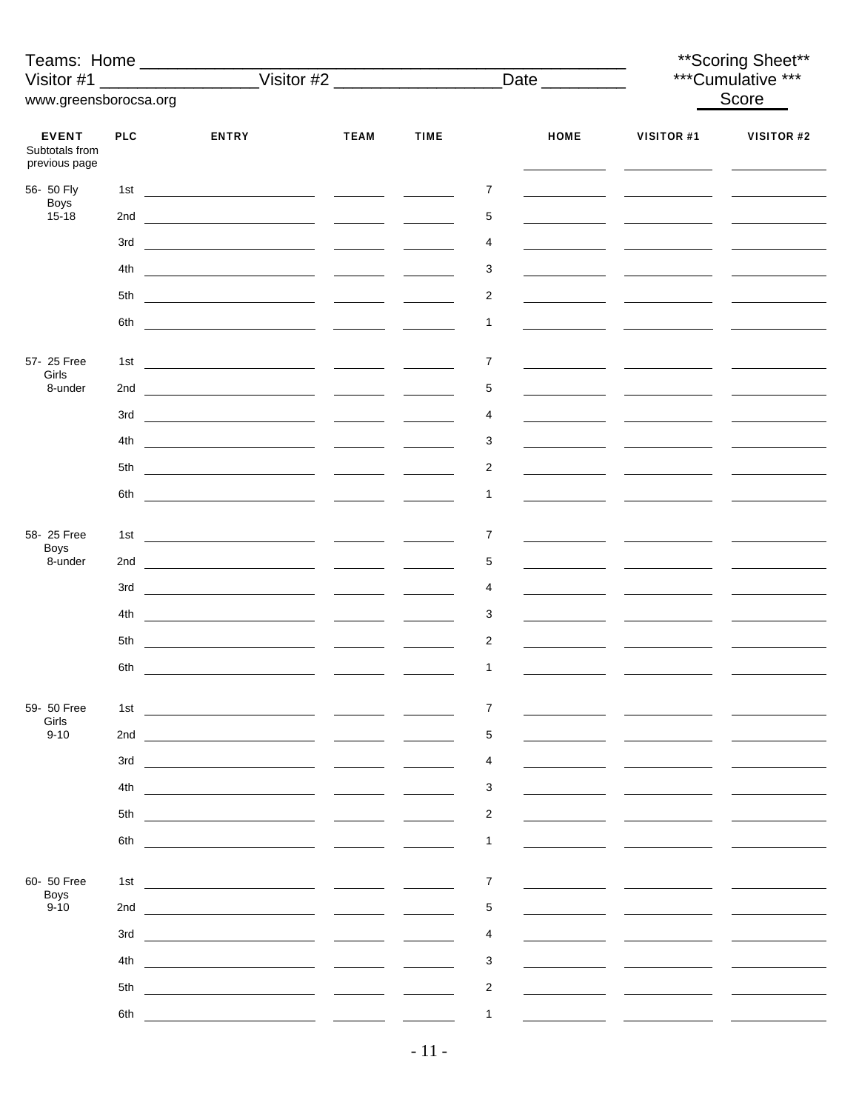| Teams: Home _________________<br>Visitor #1     |            |                                              |                                                                     |               |                         |             |                   | ** Scoring Sheet**<br>***Cumulative *** |
|-------------------------------------------------|------------|----------------------------------------------|---------------------------------------------------------------------|---------------|-------------------------|-------------|-------------------|-----------------------------------------|
| www.greensborocsa.org                           |            |                                              |                                                                     |               |                         |             |                   | Score                                   |
|                                                 |            |                                              |                                                                     |               |                         |             |                   |                                         |
| <b>EVENT</b><br>Subtotals from<br>previous page | <b>PLC</b> | <b>ENTRY</b>                                 | <b>TEAM</b>                                                         | <b>TIME</b>   |                         | <b>HOME</b> | <b>VISITOR #1</b> | VISITOR #2                              |
| 56- 50 Fly                                      | 1st        |                                              |                                                                     |               | 7                       |             |                   |                                         |
| Boys<br>$15 - 18$                               |            |                                              |                                                                     | $\frac{1}{2}$ | 5                       |             |                   |                                         |
|                                                 | 3rd        |                                              |                                                                     |               | 4                       |             |                   |                                         |
|                                                 | 4th        |                                              |                                                                     |               | 3                       |             |                   |                                         |
|                                                 | 5th        |                                              |                                                                     |               | $\overline{2}$          |             |                   |                                         |
|                                                 | 6th        |                                              |                                                                     |               | $\mathbf{1}$            |             |                   |                                         |
|                                                 |            |                                              |                                                                     |               |                         |             |                   |                                         |
| 57- 25 Free                                     | 1st        |                                              |                                                                     |               | 7                       |             |                   |                                         |
| Girls<br>8-under                                |            |                                              |                                                                     |               | 5                       |             |                   |                                         |
|                                                 |            |                                              |                                                                     |               | 4                       |             |                   |                                         |
|                                                 | 4th        |                                              |                                                                     |               | 3                       |             |                   |                                         |
|                                                 | 5th        |                                              |                                                                     |               | 2                       |             |                   |                                         |
|                                                 |            |                                              |                                                                     |               |                         |             |                   |                                         |
|                                                 | 6th        |                                              |                                                                     |               | $\mathbf{1}$            |             |                   |                                         |
| 58-25 Free                                      |            |                                              |                                                                     |               | 7                       |             |                   |                                         |
| <b>Boys</b><br>8-under                          |            |                                              |                                                                     |               | 5                       |             |                   |                                         |
|                                                 | 3rd        |                                              |                                                                     |               | 4                       |             |                   |                                         |
|                                                 | 4th        |                                              |                                                                     |               | 3                       |             |                   |                                         |
|                                                 |            |                                              |                                                                     |               |                         |             |                   |                                         |
|                                                 | 5th        |                                              |                                                                     |               | $\overline{2}$          |             |                   |                                         |
|                                                 | 6th        | <u> 1989 - Andrea Andrew Maria (b. 1989)</u> |                                                                     |               | $\mathbf{1}$            |             |                   |                                         |
| 59- 50 Free                                     | 1st        |                                              |                                                                     |               | 7                       |             |                   |                                         |
| Girls<br>$9 - 10$                               | 2nd        |                                              |                                                                     |               | 5                       |             |                   |                                         |
|                                                 | 3rd        |                                              |                                                                     |               | 4                       |             |                   |                                         |
|                                                 |            |                                              |                                                                     |               |                         |             |                   |                                         |
|                                                 | 4th        |                                              |                                                                     |               | 3                       |             |                   |                                         |
|                                                 | 5th        |                                              |                                                                     |               | $\overline{c}$          |             |                   |                                         |
|                                                 | 6th        |                                              |                                                                     |               | 1                       |             |                   |                                         |
| 60- 50 Free                                     | 1st        |                                              |                                                                     |               | 7                       |             |                   |                                         |
| <b>Boys</b><br>$9 - 10$                         | 2nd        |                                              |                                                                     |               | 5                       |             |                   |                                         |
|                                                 |            |                                              |                                                                     |               |                         |             |                   |                                         |
|                                                 | 3rd        |                                              |                                                                     |               | 4                       |             |                   |                                         |
|                                                 | 4th        |                                              | $\frac{1}{2}$ and $\frac{1}{2}$ and $\frac{1}{2}$ and $\frac{1}{2}$ |               | 3                       |             |                   |                                         |
|                                                 | 5th        |                                              |                                                                     |               | $\overline{\mathbf{c}}$ |             |                   |                                         |
|                                                 | 6th        |                                              |                                                                     |               | $\mathbf{1}$            |             |                   |                                         |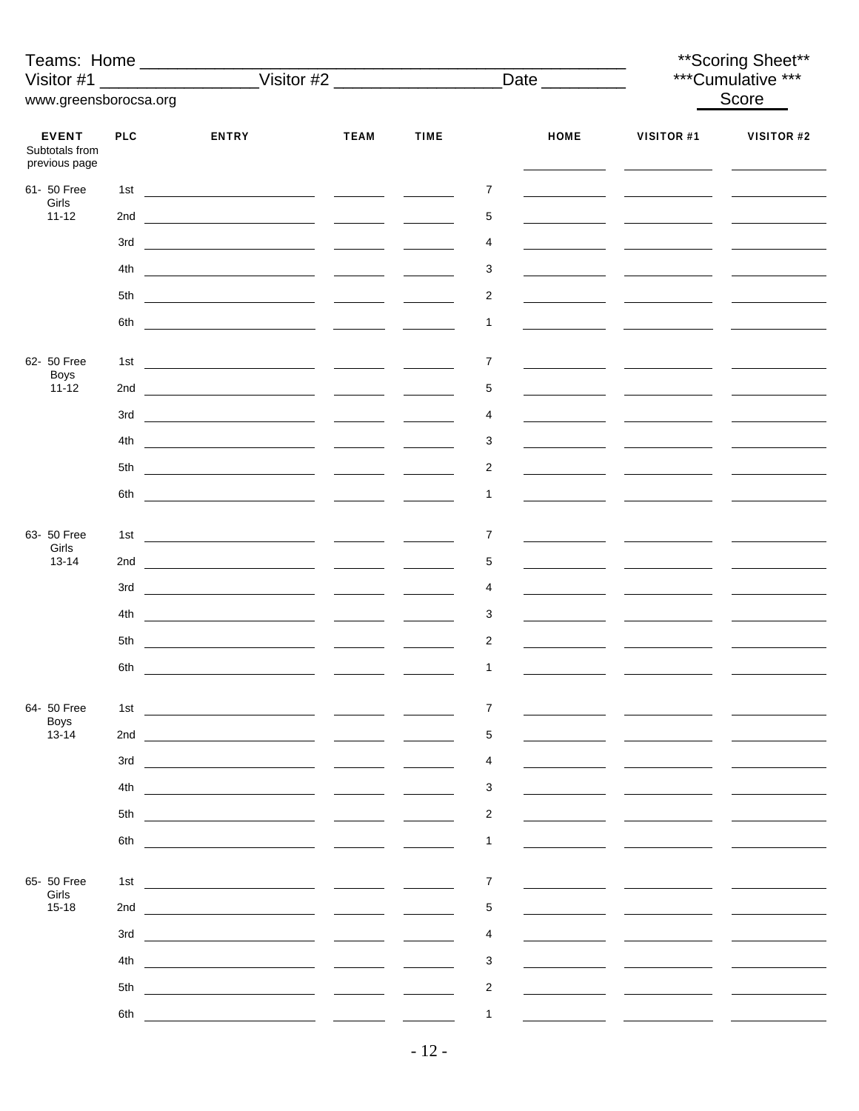| Teams: Home ___________________<br>Visitor #1   |            |                                                      |               |             |                         |             | ** Scoring Sheet**<br>***Cumulative *** |            |
|-------------------------------------------------|------------|------------------------------------------------------|---------------|-------------|-------------------------|-------------|-----------------------------------------|------------|
| www.greensborocsa.org                           |            |                                                      |               |             |                         |             | Score                                   |            |
| <b>EVENT</b><br>Subtotals from<br>previous page | <b>PLC</b> | <b>ENTRY</b>                                         | <b>TEAM</b>   | <b>TIME</b> |                         | <b>HOME</b> | <b>VISITOR #1</b>                       | VISITOR #2 |
| 61- 50 Free                                     | 1st        |                                                      |               |             | 7                       |             |                                         |            |
| Girls<br>$11 - 12$                              |            |                                                      |               |             | 5                       |             |                                         |            |
|                                                 | 3rd        |                                                      |               |             | 4                       |             |                                         |            |
|                                                 | 4th        |                                                      |               |             | 3                       |             |                                         |            |
|                                                 |            |                                                      |               |             | 2                       |             |                                         |            |
|                                                 |            |                                                      |               |             | $\mathbf{1}$            |             |                                         |            |
| 62- 50 Free                                     | 1st        |                                                      |               |             | 7                       |             |                                         |            |
| <b>Boys</b><br>$11 - 12$                        |            |                                                      |               |             | 5                       |             |                                         |            |
|                                                 |            |                                                      |               |             | 4                       |             |                                         |            |
|                                                 | 4th        |                                                      |               |             | 3                       |             |                                         |            |
|                                                 |            |                                                      |               |             | 2                       |             |                                         |            |
|                                                 | 6th        |                                                      |               |             | $\mathbf{1}$            |             |                                         |            |
| 63- 50 Free                                     |            |                                                      |               |             | 7                       |             |                                         |            |
| Girls<br>$13 - 14$                              |            |                                                      |               |             | 5                       |             |                                         |            |
|                                                 | 3rd        |                                                      |               |             | 4                       |             |                                         |            |
|                                                 | 4th        |                                                      |               |             | 3                       |             |                                         |            |
|                                                 | 5th        |                                                      |               |             | $\overline{2}$          |             |                                         |            |
|                                                 | 6th        | <u> 1989 - Andrea Andrew Maria (b. 1989)</u>         |               |             | $\mathbf{1}$            |             |                                         |            |
|                                                 |            |                                                      |               |             |                         |             |                                         |            |
| 64- 50 Free<br><b>Boys</b>                      | 1st        | <u> 1990 - Johann Stoff, fransk politik (* 1900)</u> |               |             | 7                       |             |                                         |            |
| 13-14                                           | 2nd        |                                                      |               |             | 5                       |             |                                         |            |
|                                                 | 3rd        |                                                      |               |             | 4                       |             |                                         |            |
|                                                 | 4th        |                                                      |               |             | 3                       |             |                                         |            |
|                                                 | 5th<br>6th | <u> 1980 - Jan Barbara Barbara, manazarta </u>       |               |             | $\overline{c}$<br>1     |             |                                         |            |
|                                                 |            |                                                      |               |             |                         |             |                                         |            |
| 65- 50 Free<br>Girls                            | 1st        |                                                      |               |             | 7                       |             |                                         |            |
| $15 - 18$                                       | 2nd        |                                                      |               |             | 5                       |             |                                         |            |
|                                                 | 3rd        |                                                      |               |             | 4                       |             |                                         |            |
|                                                 | 4th        |                                                      | $\frac{1}{2}$ |             | 3                       |             |                                         |            |
|                                                 | 5th        |                                                      |               |             | $\overline{\mathbf{c}}$ |             |                                         |            |
|                                                 | 6th        |                                                      |               |             | $\mathbf{1}$            |             |                                         |            |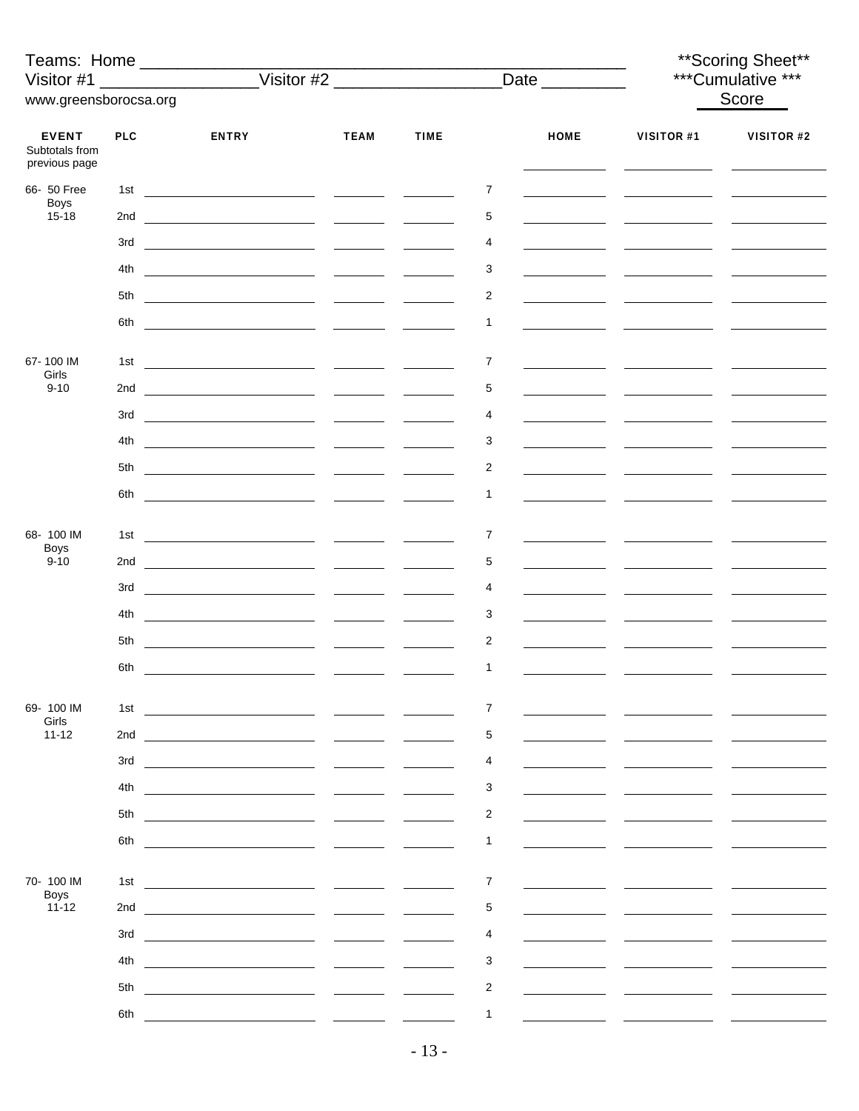| Teams: Home _________________<br>Visitor #1 |            |                                                         |                                                                     |             |                         |             | ** Scoring Sheet**<br>***Cumulative *** |            |
|---------------------------------------------|------------|---------------------------------------------------------|---------------------------------------------------------------------|-------------|-------------------------|-------------|-----------------------------------------|------------|
| www.greensborocsa.org                       |            |                                                         |                                                                     |             |                         |             |                                         | Score      |
| <b>EVENT</b>                                | <b>PLC</b> | <b>ENTRY</b>                                            | <b>TEAM</b>                                                         | <b>TIME</b> |                         | <b>HOME</b> | <b>VISITOR #1</b>                       | VISITOR #2 |
| Subtotals from<br>previous page             |            |                                                         |                                                                     |             |                         |             |                                         |            |
| 66- 50 Free<br>Boys<br>$15 - 18$            | 1st        |                                                         |                                                                     |             | 7                       |             |                                         |            |
|                                             |            |                                                         |                                                                     |             | 5                       |             |                                         |            |
|                                             | 3rd        |                                                         |                                                                     |             | 4                       |             |                                         |            |
|                                             | 4th        |                                                         |                                                                     |             | 3                       |             |                                         |            |
|                                             |            |                                                         |                                                                     |             | $\overline{2}$          |             |                                         |            |
|                                             |            |                                                         |                                                                     |             | $\mathbf{1}$            |             |                                         |            |
|                                             |            |                                                         |                                                                     |             |                         |             |                                         |            |
| 67-100 IM<br>Girls                          | 1st        |                                                         |                                                                     |             | 7                       |             |                                         |            |
| $9 - 10$                                    |            |                                                         |                                                                     |             | 5                       |             |                                         |            |
|                                             |            |                                                         |                                                                     |             | 4                       |             |                                         |            |
|                                             | 4th        | <u> 1980 - Johann Barnett, fransk politik (</u> † 1922) |                                                                     |             | 3                       |             |                                         |            |
|                                             | 5th        |                                                         |                                                                     |             | 2                       |             |                                         |            |
|                                             | 6th        |                                                         |                                                                     |             | $\mathbf{1}$            |             |                                         |            |
| 68-100 IM                                   |            |                                                         |                                                                     |             | 7                       |             |                                         |            |
| <b>Boys</b><br>$9 - 10$                     |            |                                                         |                                                                     |             | 5                       |             |                                         |            |
|                                             | 3rd        |                                                         |                                                                     |             | 4                       |             |                                         |            |
|                                             | 4th        |                                                         |                                                                     |             | 3                       |             |                                         |            |
|                                             | 5th        |                                                         |                                                                     |             | $\overline{2}$          |             |                                         |            |
|                                             | 6th        | <u> 1989 - Andrea Andrew Maria (b. 1989)</u>            |                                                                     |             | $\mathbf{1}$            |             |                                         |            |
|                                             |            |                                                         |                                                                     |             |                         |             |                                         |            |
| 69-100 IM<br>Girls                          | 1st        | <u> 1989 - Johann Barn, fransk politik (</u> † 1922)    |                                                                     |             | 7                       |             |                                         |            |
| $11 - 12$                                   | 2nd        |                                                         |                                                                     |             | 5                       |             |                                         |            |
|                                             | 3rd        |                                                         |                                                                     |             | 4                       |             |                                         |            |
|                                             | 4th        |                                                         |                                                                     |             | 3                       |             |                                         |            |
|                                             | 5th        | the control of the control of the control of            |                                                                     |             | $\overline{c}$          |             |                                         |            |
|                                             | 6th        |                                                         |                                                                     |             | 1                       |             |                                         |            |
|                                             |            |                                                         |                                                                     |             |                         |             |                                         |            |
| 70-100 IM<br><b>Boys</b>                    | 1st        |                                                         |                                                                     |             | 7                       |             |                                         |            |
| $11 - 12$                                   | 2nd        |                                                         |                                                                     |             | 5                       |             |                                         |            |
|                                             | 3rd        |                                                         |                                                                     |             | 4                       |             |                                         |            |
|                                             | 4th        |                                                         | $\frac{1}{2}$ and $\frac{1}{2}$ and $\frac{1}{2}$ and $\frac{1}{2}$ |             | 3                       |             |                                         |            |
|                                             | 5th        |                                                         |                                                                     |             | $\overline{\mathbf{c}}$ |             |                                         |            |
|                                             | 6th        |                                                         |                                                                     |             | $\mathbf{1}$            |             |                                         |            |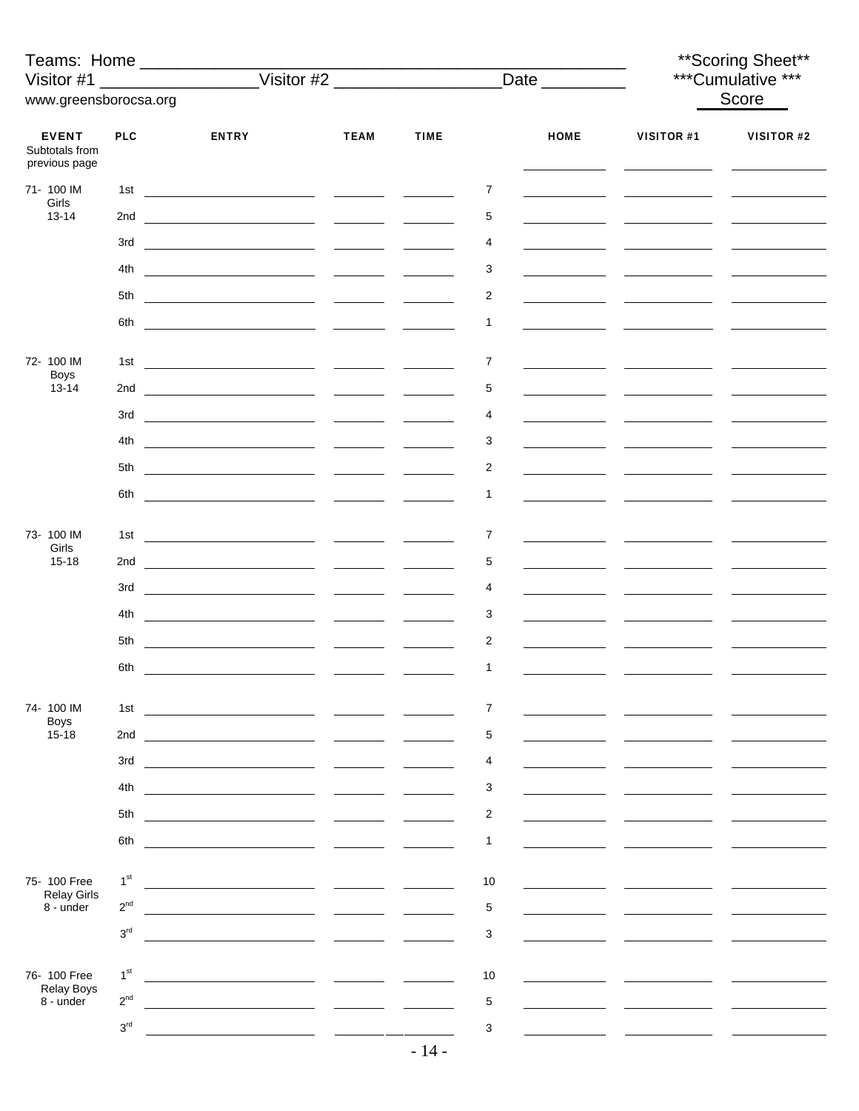| Teams: Home ___________________<br>www.greensborocsa.org |                 | Visitor #1 ____________________Visitor #2 ________________________Date _________ |             |                                                                                                                                                                                                                                                                                                                                                                                                                                                                            |                |             | ** Scoring Sheet**<br>***Cumulative *** |            |
|----------------------------------------------------------|-----------------|----------------------------------------------------------------------------------|-------------|----------------------------------------------------------------------------------------------------------------------------------------------------------------------------------------------------------------------------------------------------------------------------------------------------------------------------------------------------------------------------------------------------------------------------------------------------------------------------|----------------|-------------|-----------------------------------------|------------|
|                                                          |                 |                                                                                  |             |                                                                                                                                                                                                                                                                                                                                                                                                                                                                            |                |             | Score                                   |            |
| <b>EVENT</b><br>Subtotals from<br>previous page          | <b>PLC</b>      | <b>ENTRY</b>                                                                     | <b>TEAM</b> | <b>TIME</b>                                                                                                                                                                                                                                                                                                                                                                                                                                                                |                | <b>HOME</b> | <b>VISITOR #1</b>                       | VISITOR #2 |
| 71-100 IM<br>Girls                                       |                 |                                                                                  |             |                                                                                                                                                                                                                                                                                                                                                                                                                                                                            | 7              |             |                                         |            |
| $13 - 14$                                                |                 |                                                                                  |             |                                                                                                                                                                                                                                                                                                                                                                                                                                                                            | 5              |             |                                         |            |
|                                                          | 3rd             |                                                                                  |             |                                                                                                                                                                                                                                                                                                                                                                                                                                                                            | 4              |             |                                         |            |
|                                                          | 4th             |                                                                                  |             |                                                                                                                                                                                                                                                                                                                                                                                                                                                                            | 3              |             |                                         |            |
|                                                          | 5th             |                                                                                  |             |                                                                                                                                                                                                                                                                                                                                                                                                                                                                            | 2              |             |                                         |            |
|                                                          |                 |                                                                                  |             |                                                                                                                                                                                                                                                                                                                                                                                                                                                                            | 1              |             |                                         |            |
| 72- 100 IM<br><b>Boys</b>                                | 1st             |                                                                                  |             |                                                                                                                                                                                                                                                                                                                                                                                                                                                                            | $\overline{7}$ |             |                                         |            |
| $13 - 14$                                                |                 |                                                                                  |             |                                                                                                                                                                                                                                                                                                                                                                                                                                                                            | 5              |             |                                         |            |
|                                                          |                 |                                                                                  |             |                                                                                                                                                                                                                                                                                                                                                                                                                                                                            | 4              |             |                                         |            |
|                                                          | 4th             | <u> 1999 - Johann Stoff, amerikansk politiker (</u> † 1920)                      |             |                                                                                                                                                                                                                                                                                                                                                                                                                                                                            | 3              |             |                                         |            |
|                                                          |                 |                                                                                  |             |                                                                                                                                                                                                                                                                                                                                                                                                                                                                            | 2              |             |                                         |            |
|                                                          |                 |                                                                                  |             |                                                                                                                                                                                                                                                                                                                                                                                                                                                                            | 1              |             |                                         |            |
| 73-100 IM                                                |                 |                                                                                  |             |                                                                                                                                                                                                                                                                                                                                                                                                                                                                            | 7              |             |                                         |            |
| Girls<br>$15 - 18$                                       |                 |                                                                                  |             |                                                                                                                                                                                                                                                                                                                                                                                                                                                                            | 5              |             |                                         |            |
|                                                          |                 |                                                                                  |             |                                                                                                                                                                                                                                                                                                                                                                                                                                                                            |                |             |                                         |            |
|                                                          |                 |                                                                                  |             | $\frac{1}{2} \left( \frac{1}{2} \right) \left( \frac{1}{2} \right) \left( \frac{1}{2} \right) \left( \frac{1}{2} \right) \left( \frac{1}{2} \right) \left( \frac{1}{2} \right) \left( \frac{1}{2} \right) \left( \frac{1}{2} \right) \left( \frac{1}{2} \right) \left( \frac{1}{2} \right) \left( \frac{1}{2} \right) \left( \frac{1}{2} \right) \left( \frac{1}{2} \right) \left( \frac{1}{2} \right) \left( \frac{1}{2} \right) \left( \frac{1}{2} \right) \left( \frac$ | 4              |             |                                         |            |
|                                                          | 4th             |                                                                                  |             |                                                                                                                                                                                                                                                                                                                                                                                                                                                                            | 3              |             |                                         |            |
|                                                          | 5th             |                                                                                  |             |                                                                                                                                                                                                                                                                                                                                                                                                                                                                            | $\overline{c}$ |             |                                         |            |
|                                                          |                 |                                                                                  |             |                                                                                                                                                                                                                                                                                                                                                                                                                                                                            | $\mathbf{1}$   |             |                                         |            |
| 74-100 IM                                                | 1st             | <u> 1990 - Andrea Maria (b. 1980)</u>                                            |             |                                                                                                                                                                                                                                                                                                                                                                                                                                                                            | 7              |             |                                         |            |
| <b>Boys</b><br>$15 - 18$                                 | 2nd             |                                                                                  |             |                                                                                                                                                                                                                                                                                                                                                                                                                                                                            | 5              |             |                                         |            |
|                                                          | 3rd             |                                                                                  |             |                                                                                                                                                                                                                                                                                                                                                                                                                                                                            | 4              |             |                                         |            |
|                                                          | 4th             |                                                                                  |             |                                                                                                                                                                                                                                                                                                                                                                                                                                                                            | 3              |             |                                         |            |
|                                                          | 5th             |                                                                                  |             |                                                                                                                                                                                                                                                                                                                                                                                                                                                                            | $\overline{c}$ |             |                                         |            |
|                                                          |                 |                                                                                  |             |                                                                                                                                                                                                                                                                                                                                                                                                                                                                            |                |             |                                         |            |
|                                                          | 6th             |                                                                                  |             |                                                                                                                                                                                                                                                                                                                                                                                                                                                                            | 1              |             |                                         |            |
| 75-100 Free                                              | 1 <sup>st</sup> |                                                                                  |             |                                                                                                                                                                                                                                                                                                                                                                                                                                                                            | 10             |             |                                         |            |
| <b>Relay Girls</b><br>8 - under                          | $2^{nd}$        |                                                                                  |             |                                                                                                                                                                                                                                                                                                                                                                                                                                                                            | $\sqrt{5}$     |             |                                         |            |
|                                                          | 3 <sup>rd</sup> |                                                                                  |             |                                                                                                                                                                                                                                                                                                                                                                                                                                                                            | 3              |             |                                         |            |
| 76-100 Free                                              | 1 <sup>st</sup> |                                                                                  |             |                                                                                                                                                                                                                                                                                                                                                                                                                                                                            | 10             |             |                                         |            |
| <b>Relay Boys</b><br>8 - under                           | $2^{nd}$        |                                                                                  |             |                                                                                                                                                                                                                                                                                                                                                                                                                                                                            | 5              |             |                                         |            |
|                                                          | 3 <sup>rd</sup> |                                                                                  |             |                                                                                                                                                                                                                                                                                                                                                                                                                                                                            | 3              |             |                                         |            |
|                                                          |                 |                                                                                  |             | $-14-$                                                                                                                                                                                                                                                                                                                                                                                                                                                                     |                |             |                                         |            |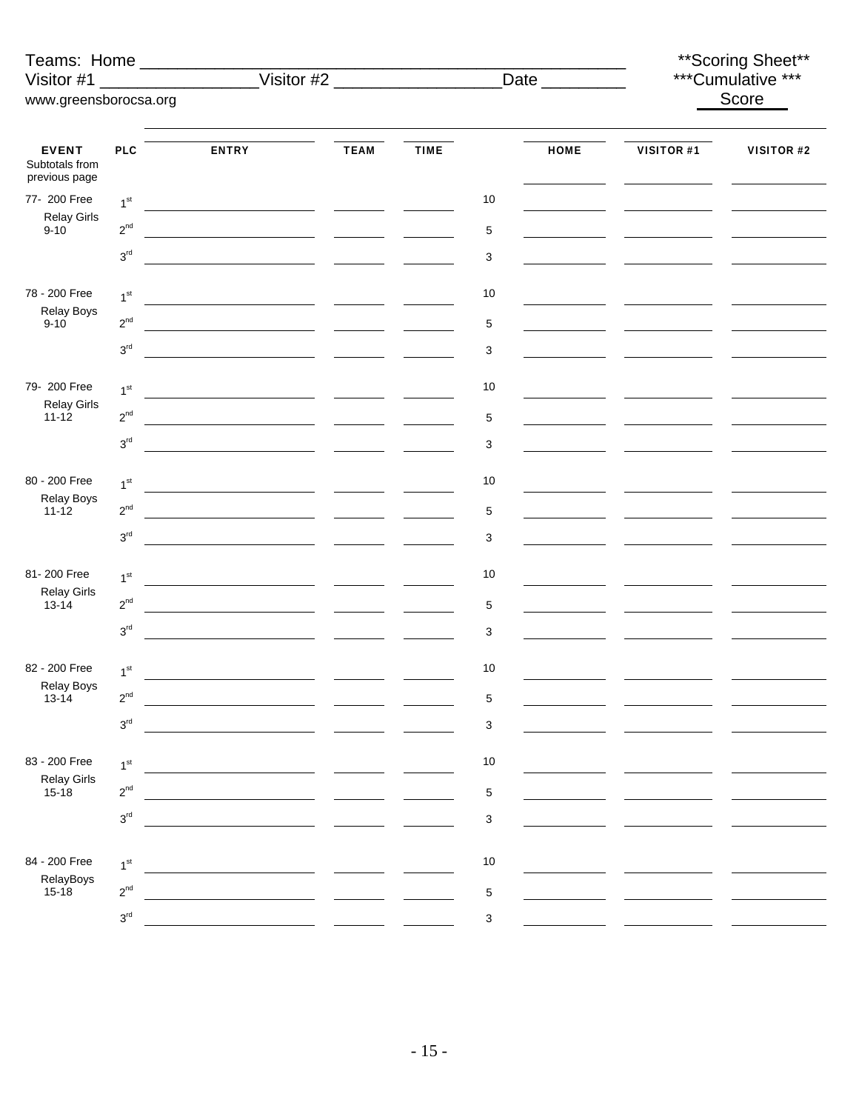| Teams: Home ________________                     |                                 |              |                   |             | **Scoring Sheet**         |             |                   |                   |
|--------------------------------------------------|---------------------------------|--------------|-------------------|-------------|---------------------------|-------------|-------------------|-------------------|
| Visitor #1                                       |                                 |              | <u>Visitor #2</u> |             | Date _________            |             | ***Cumulative *** |                   |
| www.greensborocsa.org                            |                                 |              |                   |             |                           |             |                   | Score             |
|                                                  |                                 |              |                   |             |                           |             |                   |                   |
| <b>EVENT</b>                                     | <b>PLC</b>                      | <b>ENTRY</b> | <b>TEAM</b>       | <b>TIME</b> |                           | <b>HOME</b> | <b>VISITOR #1</b> | <b>VISITOR #2</b> |
| Subtotals from<br>previous page                  |                                 |              |                   |             |                           |             |                   |                   |
| 77- 200 Free<br><b>Relay Girls</b><br>$9 - 10$   | 1 <sup>st</sup>                 |              |                   |             | 10                        |             |                   |                   |
|                                                  | $2^{nd}$                        |              |                   |             | $\sqrt{5}$                |             |                   |                   |
|                                                  | $3^{\rm rd}$                    |              |                   |             | $\ensuremath{\mathsf{3}}$ |             |                   |                   |
| 78 - 200 Free                                    | 1 <sup>st</sup>                 |              |                   |             | $10$                      |             |                   |                   |
| Relay Boys<br>$9 - 10$                           | $2^{nd}$                        |              |                   |             | $\sqrt{5}$                |             |                   |                   |
|                                                  | $3^{\rm rd}$                    |              |                   |             | 3                         |             |                   |                   |
| 79- 200 Free                                     | 1 <sup>st</sup>                 |              |                   |             | $10$                      |             |                   |                   |
| <b>Relay Girls</b><br>$11 - 12$                  | $2^{nd}$                        |              |                   |             | $\sqrt{5}$                |             |                   |                   |
|                                                  | $3^{\rm rd}$                    |              |                   |             | 3                         |             |                   |                   |
| 80 - 200 Free                                    |                                 |              |                   |             |                           |             |                   |                   |
| Relay Boys                                       | 1 <sup>st</sup>                 |              |                   |             | $10$                      |             |                   |                   |
| $11 - 12$                                        | $2^{\text{nd}}$<br>$3^{\rm rd}$ |              |                   |             | $\,$ 5 $\,$<br>3          |             |                   |                   |
|                                                  |                                 |              |                   |             |                           |             |                   |                   |
| 81-200 Free<br><b>Relay Girls</b>                | 1 <sup>st</sup>                 |              |                   |             | $10$                      |             |                   |                   |
| $13 - 14$                                        | $2^{\text{nd}}$                 |              |                   |             | $\,$ 5 $\,$               |             |                   |                   |
|                                                  | $3^{\rm rd}$                    |              |                   |             | 3                         |             |                   |                   |
| 82 - 200 Free                                    | 1 <sup>st</sup>                 |              |                   |             | 10                        |             |                   |                   |
| Relay Boys<br>$13 - 14$                          | $2^{nd}$                        |              |                   |             | $\mathbf 5$               |             |                   |                   |
|                                                  | $3^{\text{rd}}$                 |              |                   |             | $\ensuremath{\mathsf{3}}$ |             |                   |                   |
| 83 - 200 Free<br><b>Relay Girls</b><br>$15 - 18$ | 1 <sup>st</sup>                 |              |                   |             | $10$                      |             |                   |                   |
|                                                  | $2^{nd}$                        |              |                   |             | $\,$ 5 $\,$               |             |                   |                   |
|                                                  | $3^{\rm rd}$                    |              |                   |             | $\ensuremath{\mathsf{3}}$ |             |                   |                   |
|                                                  |                                 |              |                   |             |                           |             |                   |                   |
| 84 - 200 Free<br>RelayBoys                       | 1 <sup>st</sup>                 |              |                   |             | $10$                      |             |                   |                   |
| $15 - 18$                                        | $2^{nd}$                        |              |                   |             | $\mathbf 5$               |             |                   |                   |
|                                                  | 3 <sup>rd</sup>                 |              |                   |             | $\ensuremath{\mathsf{3}}$ |             |                   |                   |